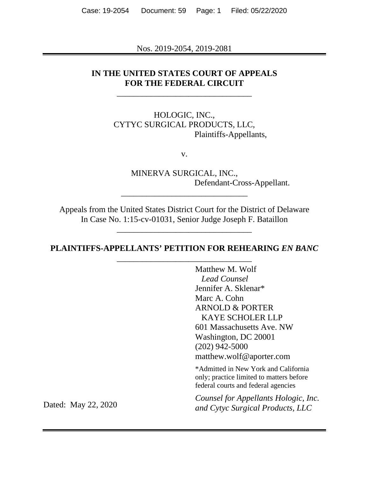Case: 19-2054 Document: 59 Page: 1 Filed: 05/22/2020

Nos. 2019-2054, 2019-2081

## **IN THE UNITED STATES COURT OF APPEALS FOR THE FEDERAL CIRCUIT**

\_\_\_\_\_\_\_\_\_\_\_\_\_\_\_\_\_\_\_\_\_\_\_\_\_\_\_\_\_\_\_\_

## HOLOGIC, INC., CYTYC SURGICAL PRODUCTS, LLC, Plaintiffs-Appellants,

v.

MINERVA SURGICAL, INC., Defendant-Cross-Appellant.

Appeals from the United States District Court for the District of Delaware In Case No. 1:15-cv-01031, Senior Judge Joseph F. Bataillon

\_\_\_\_\_\_\_\_\_\_\_\_\_\_\_\_\_\_\_\_\_\_\_\_\_\_\_\_\_\_\_\_

\_\_\_\_\_\_\_\_\_\_\_\_\_\_\_\_\_\_\_\_\_\_\_\_\_\_\_\_\_\_

## **PLAINTIFFS-APPELLANTS' PETITION FOR REHEARING** *EN BANC* \_\_\_\_\_\_\_\_\_\_\_\_\_\_\_\_\_\_\_\_\_\_\_\_\_\_\_\_\_\_\_\_

Matthew M. Wolf *Lead Counsel* Jennifer A. Sklenar\* Marc A. Cohn ARNOLD & PORTER KAYE SCHOLER LLP 601 Massachusetts Ave. NW Washington, DC 20001 (202) 942-5000 matthew.wolf@aporter.com

\*Admitted in New York and California only; practice limited to matters before federal courts and federal agencies

*Counsel for Appellants Hologic, Inc. and Cytyc Surgical Products, LLC*

Dated: May 22, 2020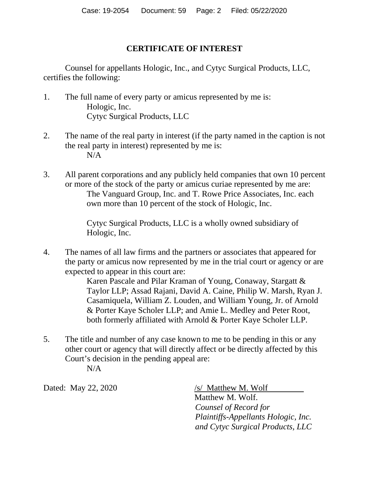## **CERTIFICATE OF INTEREST**

Counsel for appellants Hologic, Inc., and Cytyc Surgical Products, LLC, certifies the following:

- 1. The full name of every party or amicus represented by me is: Hologic, Inc. Cytyc Surgical Products, LLC
- 2. The name of the real party in interest (if the party named in the caption is not the real party in interest) represented by me is:  $N/A$
- 3. All parent corporations and any publicly held companies that own 10 percent or more of the stock of the party or amicus curiae represented by me are: The Vanguard Group, Inc. and T. Rowe Price Associates, Inc. each own more than 10 percent of the stock of Hologic, Inc.

Cytyc Surgical Products, LLC is a wholly owned subsidiary of Hologic, Inc.

4. The names of all law firms and the partners or associates that appeared for the party or amicus now represented by me in the trial court or agency or are expected to appear in this court are:

> Karen Pascale and Pilar Kraman of Young, Conaway, Stargatt & Taylor LLP; Assad Rajani, David A. Caine, Philip W. Marsh, Ryan J. Casamiquela, William Z. Louden, and William Young, Jr. of Arnold & Porter Kaye Scholer LLP; and Amie L. Medley and Peter Root, both formerly affiliated with Arnold & Porter Kaye Scholer LLP.

5. The title and number of any case known to me to be pending in this or any other court or agency that will directly affect or be directly affected by this Court's decision in the pending appeal are:  $N/A$ 

Dated: May 22, 2020 /s/ Matthew M. Wolf

Matthew M. Wolf. *Counsel of Record for Plaintiffs-Appellants Hologic, Inc. and Cytyc Surgical Products, LLC*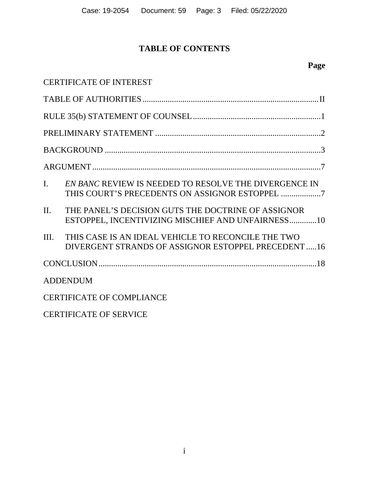# **TABLE OF CONTENTS**

|                                  | <b>CERTIFICATE OF INTEREST</b>                                                                           |  |  |
|----------------------------------|----------------------------------------------------------------------------------------------------------|--|--|
|                                  |                                                                                                          |  |  |
|                                  |                                                                                                          |  |  |
|                                  |                                                                                                          |  |  |
|                                  |                                                                                                          |  |  |
|                                  |                                                                                                          |  |  |
| $\overline{L}$                   | EN BANC REVIEW IS NEEDED TO RESOLVE THE DIVERGENCE IN                                                    |  |  |
| $\Pi$ .                          | THE PANEL'S DECISION GUTS THE DOCTRINE OF ASSIGNOR<br>ESTOPPEL, INCENTIVIZING MISCHIEF AND UNFAIRNESS10  |  |  |
| III.                             | THIS CASE IS AN IDEAL VEHICLE TO RECONCILE THE TWO<br>DIVERGENT STRANDS OF ASSIGNOR ESTOPPEL PRECEDENT16 |  |  |
|                                  |                                                                                                          |  |  |
|                                  | <b>ADDENDUM</b>                                                                                          |  |  |
| <b>CERTIFICATE OF COMPLIANCE</b> |                                                                                                          |  |  |
|                                  | <b>CERTIFICATE OF SERVICE</b>                                                                            |  |  |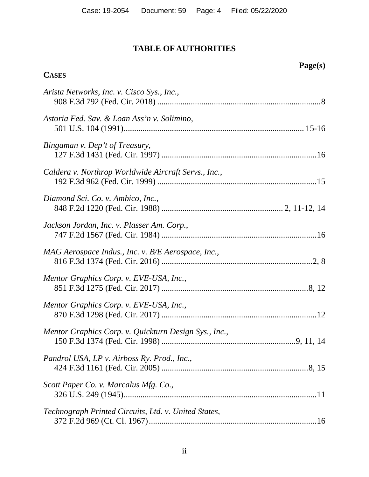# **TABLE OF AUTHORITIES**

# **Page(s)**

# **CASES**

| Arista Networks, Inc. v. Cisco Sys., Inc.,            |
|-------------------------------------------------------|
| Astoria Fed. Sav. & Loan Ass'n v. Solimino,           |
| Bingaman v. Dep't of Treasury,                        |
| Caldera v. Northrop Worldwide Aircraft Servs., Inc.,  |
| Diamond Sci. Co. v. Ambico, Inc.,                     |
| Jackson Jordan, Inc. v. Plasser Am. Corp.,            |
| MAG Aerospace Indus., Inc. v. B/E Aerospace, Inc.,    |
| Mentor Graphics Corp. v. EVE-USA, Inc.,               |
| Mentor Graphics Corp. v. EVE-USA, Inc.,               |
| Mentor Graphics Corp. v. Quickturn Design Sys., Inc., |
| Pandrol USA, LP v. Airboss Ry. Prod., Inc.,           |
| Scott Paper Co. v. Marcalus Mfg. Co.,                 |
| Technograph Printed Circuits, Ltd. v. United States,  |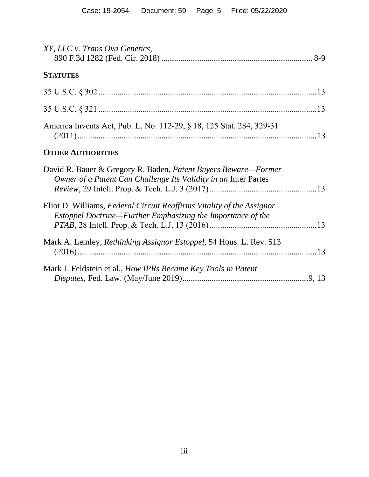| XY, LLC v. Trans Ova Genetics,                                       |  |
|----------------------------------------------------------------------|--|
| <b>STATUTES</b>                                                      |  |
|                                                                      |  |
|                                                                      |  |
| America Invents Act, Pub. L. No. 112-29, § 18, 125 Stat. 284, 329-31 |  |

## **OTHER AUTHORITIES**

| David R. Bauer & Gregory R. Baden, Patent Buyers Beware-Former             |  |
|----------------------------------------------------------------------------|--|
| Owner of a Patent Can Challenge Its Validity in an Inter Partes            |  |
|                                                                            |  |
| Eliot D. Williams, Federal Circuit Reaffirms Vitality of the Assignor      |  |
| Estoppel Doctrine—Further Emphasizing the Importance of the                |  |
|                                                                            |  |
| Mark A. Lemley, <i>Rethinking Assignor Estoppel</i> , 54 Hous. L. Rev. 513 |  |
| Mark J. Feldstein et al., How IPRs Became Key Tools in Patent              |  |
|                                                                            |  |
|                                                                            |  |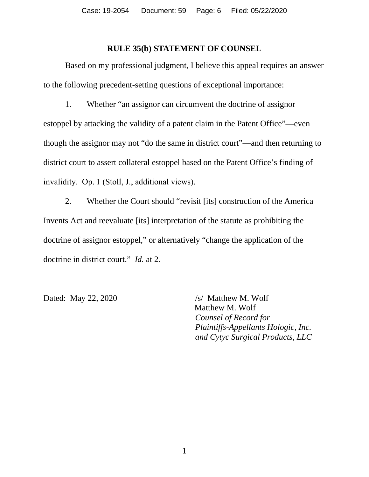#### **RULE 35(b) STATEMENT OF COUNSEL**

Based on my professional judgment, I believe this appeal requires an answer to the following precedent-setting questions of exceptional importance:

1. Whether "an assignor can circumvent the doctrine of assignor estoppel by attacking the validity of a patent claim in the Patent Office"—even though the assignor may not "do the same in district court"—and then returning to district court to assert collateral estoppel based on the Patent Office's finding of invalidity. Op. 1 (Stoll, J., additional views).

2. Whether the Court should "revisit [its] construction of the America Invents Act and reevaluate [its] interpretation of the statute as prohibiting the doctrine of assignor estoppel," or alternatively "change the application of the doctrine in district court." *Id.* at 2.

Dated: May 22, 2020  $/$  /s/ Matthew M. Wolf

Matthew M. Wolf *Counsel of Record for Plaintiffs-Appellants Hologic, Inc. and Cytyc Surgical Products, LLC*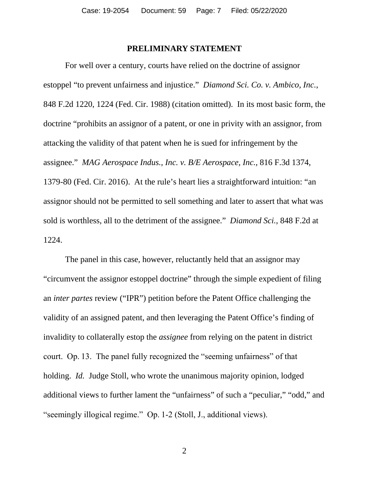#### **PRELIMINARY STATEMENT**

For well over a century, courts have relied on the doctrine of assignor estoppel "to prevent unfairness and injustice." *Diamond Sci. Co. v. Ambico, Inc.*, 848 F.2d 1220, 1224 (Fed. Cir. 1988) (citation omitted). In its most basic form, the doctrine "prohibits an assignor of a patent, or one in privity with an assignor, from attacking the validity of that patent when he is sued for infringement by the assignee." *MAG Aerospace Indus., Inc. v. B/E Aerospace, Inc.*, 816 F.3d 1374, 1379-80 (Fed. Cir. 2016). At the rule's heart lies a straightforward intuition: "an assignor should not be permitted to sell something and later to assert that what was sold is worthless, all to the detriment of the assignee." *Diamond Sci.*, 848 F.2d at 1224.

The panel in this case, however, reluctantly held that an assignor may "circumvent the assignor estoppel doctrine" through the simple expedient of filing an *inter partes* review ("IPR") petition before the Patent Office challenging the validity of an assigned patent, and then leveraging the Patent Office's finding of invalidity to collaterally estop the *assignee* from relying on the patent in district court. Op. 13. The panel fully recognized the "seeming unfairness" of that holding. *Id.* Judge Stoll, who wrote the unanimous majority opinion, lodged additional views to further lament the "unfairness" of such a "peculiar," "odd," and "seemingly illogical regime." Op. 1-2 (Stoll, J., additional views).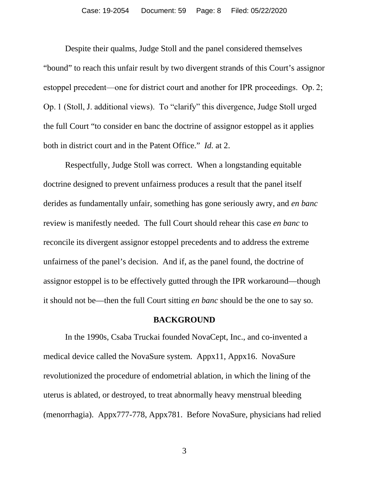Despite their qualms, Judge Stoll and the panel considered themselves "bound" to reach this unfair result by two divergent strands of this Court's assignor estoppel precedent—one for district court and another for IPR proceedings. Op. 2; Op. 1 (Stoll, J. additional views). To "clarify" this divergence, Judge Stoll urged the full Court "to consider en banc the doctrine of assignor estoppel as it applies both in district court and in the Patent Office." *Id.* at 2.

Respectfully, Judge Stoll was correct. When a longstanding equitable doctrine designed to prevent unfairness produces a result that the panel itself derides as fundamentally unfair, something has gone seriously awry, and *en banc* review is manifestly needed. The full Court should rehear this case *en banc* to reconcile its divergent assignor estoppel precedents and to address the extreme unfairness of the panel's decision. And if, as the panel found, the doctrine of assignor estoppel is to be effectively gutted through the IPR workaround—though it should not be—then the full Court sitting *en banc* should be the one to say so.

#### **BACKGROUND**

In the 1990s, Csaba Truckai founded NovaCept, Inc., and co-invented a medical device called the NovaSure system. Appx11, Appx16. NovaSure revolutionized the procedure of endometrial ablation, in which the lining of the uterus is ablated, or destroyed, to treat abnormally heavy menstrual bleeding (menorrhagia). Appx777-778, Appx781. Before NovaSure, physicians had relied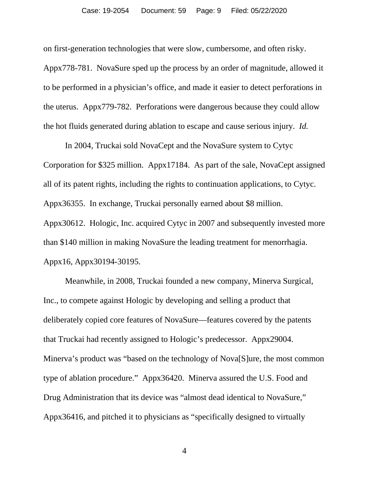#### Case: 19-2054 Document: 59 Page: 9 Filed: 05/22/2020

on first-generation technologies that were slow, cumbersome, and often risky.

Appx778-781. NovaSure sped up the process by an order of magnitude, allowed it to be performed in a physician's office, and made it easier to detect perforations in the uterus. Appx779-782. Perforations were dangerous because they could allow the hot fluids generated during ablation to escape and cause serious injury. *Id.*

In 2004, Truckai sold NovaCept and the NovaSure system to Cytyc Corporation for \$325 million. Appx17184. As part of the sale, NovaCept assigned all of its patent rights, including the rights to continuation applications, to Cytyc. Appx36355. In exchange, Truckai personally earned about \$8 million. Appx30612. Hologic, Inc. acquired Cytyc in 2007 and subsequently invested more than \$140 million in making NovaSure the leading treatment for menorrhagia. Appx16, Appx30194-30195.

Meanwhile, in 2008, Truckai founded a new company, Minerva Surgical, Inc., to compete against Hologic by developing and selling a product that deliberately copied core features of NovaSure—features covered by the patents that Truckai had recently assigned to Hologic's predecessor. Appx29004. Minerva's product was "based on the technology of Nova[S]ure, the most common type of ablation procedure." Appx36420. Minerva assured the U.S. Food and Drug Administration that its device was "almost dead identical to NovaSure," Appx36416, and pitched it to physicians as "specifically designed to virtually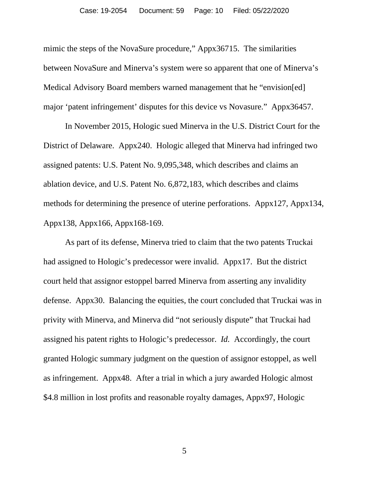mimic the steps of the NovaSure procedure," Appx36715. The similarities between NovaSure and Minerva's system were so apparent that one of Minerva's Medical Advisory Board members warned management that he "envision[ed] major 'patent infringement' disputes for this device vs Novasure." Appx36457.

In November 2015, Hologic sued Minerva in the U.S. District Court for the District of Delaware. Appx240. Hologic alleged that Minerva had infringed two assigned patents: U.S. Patent No. 9,095,348, which describes and claims an ablation device, and U.S. Patent No. 6,872,183, which describes and claims methods for determining the presence of uterine perforations. Appx127, Appx134, Appx138, Appx166, Appx168-169.

As part of its defense, Minerva tried to claim that the two patents Truckai had assigned to Hologic's predecessor were invalid. Appx17. But the district court held that assignor estoppel barred Minerva from asserting any invalidity defense. Appx30. Balancing the equities, the court concluded that Truckai was in privity with Minerva, and Minerva did "not seriously dispute" that Truckai had assigned his patent rights to Hologic's predecessor. *Id.* Accordingly, the court granted Hologic summary judgment on the question of assignor estoppel, as well as infringement. Appx48. After a trial in which a jury awarded Hologic almost \$4.8 million in lost profits and reasonable royalty damages, Appx97, Hologic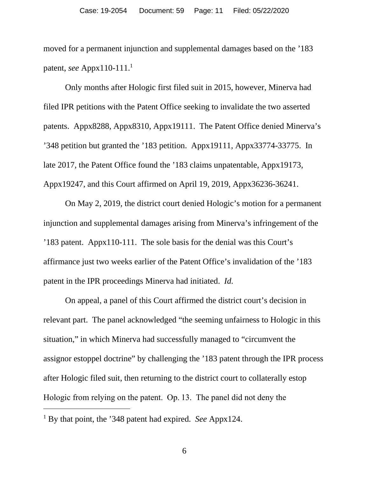moved for a permanent injunction and supplemental damages based on the '183 patent, *see* Appx110-111.<sup>1</sup>

Only months after Hologic first filed suit in 2015, however, Minerva had filed IPR petitions with the Patent Office seeking to invalidate the two asserted patents. Appx8288, Appx8310, Appx19111. The Patent Office denied Minerva's '348 petition but granted the '183 petition. Appx19111, Appx33774-33775. In late 2017, the Patent Office found the '183 claims unpatentable, Appx19173, Appx19247, and this Court affirmed on April 19, 2019, Appx36236-36241.

On May 2, 2019, the district court denied Hologic's motion for a permanent injunction and supplemental damages arising from Minerva's infringement of the '183 patent. Appx110-111. The sole basis for the denial was this Court's affirmance just two weeks earlier of the Patent Office's invalidation of the '183 patent in the IPR proceedings Minerva had initiated. *Id.* 

On appeal, a panel of this Court affirmed the district court's decision in relevant part. The panel acknowledged "the seeming unfairness to Hologic in this situation," in which Minerva had successfully managed to "circumvent the assignor estoppel doctrine" by challenging the '183 patent through the IPR process after Hologic filed suit, then returning to the district court to collaterally estop Hologic from relying on the patent. Op. 13. The panel did not deny the

<sup>1</sup> By that point, the '348 patent had expired. *See* Appx124.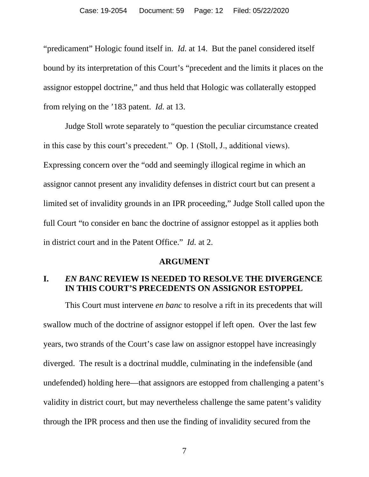"predicament" Hologic found itself in. *Id.* at 14. But the panel considered itself bound by its interpretation of this Court's "precedent and the limits it places on the assignor estoppel doctrine," and thus held that Hologic was collaterally estopped from relying on the '183 patent. *Id.* at 13.

Judge Stoll wrote separately to "question the peculiar circumstance created in this case by this court's precedent." Op. 1 (Stoll, J., additional views). Expressing concern over the "odd and seemingly illogical regime in which an assignor cannot present any invalidity defenses in district court but can present a limited set of invalidity grounds in an IPR proceeding," Judge Stoll called upon the full Court "to consider en banc the doctrine of assignor estoppel as it applies both in district court and in the Patent Office." *Id.* at 2.

#### **ARGUMENT**

## **I.** *EN BANC* **REVIEW IS NEEDED TO RESOLVE THE DIVERGENCE IN THIS COURT'S PRECEDENTS ON ASSIGNOR ESTOPPEL**

This Court must intervene *en banc* to resolve a rift in its precedents that will swallow much of the doctrine of assignor estoppel if left open. Over the last few years, two strands of the Court's case law on assignor estoppel have increasingly diverged. The result is a doctrinal muddle, culminating in the indefensible (and undefended) holding here—that assignors are estopped from challenging a patent's validity in district court, but may nevertheless challenge the same patent's validity through the IPR process and then use the finding of invalidity secured from the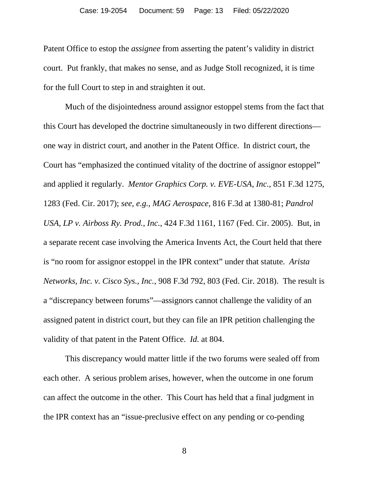Patent Office to estop the *assignee* from asserting the patent's validity in district court. Put frankly, that makes no sense, and as Judge Stoll recognized, it is time for the full Court to step in and straighten it out.

Much of the disjointedness around assignor estoppel stems from the fact that this Court has developed the doctrine simultaneously in two different directions one way in district court, and another in the Patent Office. In district court, the Court has "emphasized the continued vitality of the doctrine of assignor estoppel" and applied it regularly. *Mentor Graphics Corp. v. EVE-USA, Inc.*, 851 F.3d 1275, 1283 (Fed. Cir. 2017); *see, e.g.*, *MAG Aerospace*, 816 F.3d at 1380-81; *Pandrol USA, LP v. Airboss Ry. Prod., Inc.*, 424 F.3d 1161, 1167 (Fed. Cir. 2005). But, in a separate recent case involving the America Invents Act, the Court held that there is "no room for assignor estoppel in the IPR context" under that statute. *Arista Networks, Inc. v. Cisco Sys., Inc.*, 908 F.3d 792, 803 (Fed. Cir. 2018). The result is a "discrepancy between forums"—assignors cannot challenge the validity of an assigned patent in district court, but they can file an IPR petition challenging the validity of that patent in the Patent Office. *Id.* at 804.

This discrepancy would matter little if the two forums were sealed off from each other. A serious problem arises, however, when the outcome in one forum can affect the outcome in the other. This Court has held that a final judgment in the IPR context has an "issue-preclusive effect on any pending or co-pending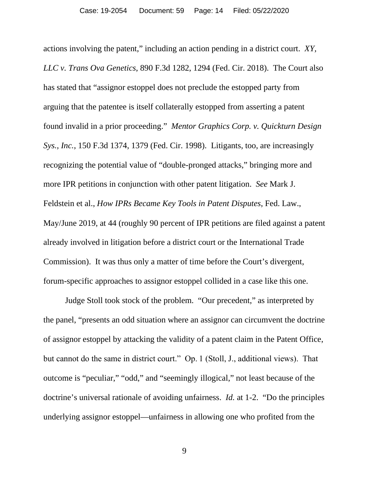actions involving the patent," including an action pending in a district court. *XY, LLC v. Trans Ova Genetics*, 890 F.3d 1282, 1294 (Fed. Cir. 2018). The Court also has stated that "assignor estoppel does not preclude the estopped party from arguing that the patentee is itself collaterally estopped from asserting a patent found invalid in a prior proceeding." *Mentor Graphics Corp. v. Quickturn Design Sys., Inc.*, 150 F.3d 1374, 1379 (Fed. Cir. 1998). Litigants, too, are increasingly recognizing the potential value of "double-pronged attacks," bringing more and more IPR petitions in conjunction with other patent litigation. *See* Mark J. Feldstein et al., *How IPRs Became Key Tools in Patent Disputes*, Fed. Law., May/June 2019, at 44 (roughly 90 percent of IPR petitions are filed against a patent already involved in litigation before a district court or the International Trade Commission). It was thus only a matter of time before the Court's divergent, forum-specific approaches to assignor estoppel collided in a case like this one.

Judge Stoll took stock of the problem. "Our precedent," as interpreted by the panel, "presents an odd situation where an assignor can circumvent the doctrine of assignor estoppel by attacking the validity of a patent claim in the Patent Office, but cannot do the same in district court." Op. 1 (Stoll, J., additional views). That outcome is "peculiar," "odd," and "seemingly illogical," not least because of the doctrine's universal rationale of avoiding unfairness. *Id.* at 1-2. "Do the principles underlying assignor estoppel—unfairness in allowing one who profited from the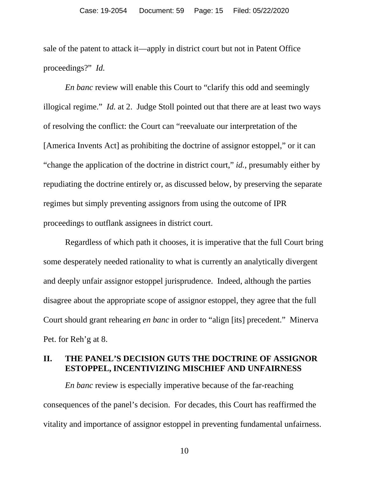sale of the patent to attack it—apply in district court but not in Patent Office proceedings?" *Id.*

*En banc* review will enable this Court to "clarify this odd and seemingly illogical regime." *Id.* at 2. Judge Stoll pointed out that there are at least two ways of resolving the conflict: the Court can "reevaluate our interpretation of the [America Invents Act] as prohibiting the doctrine of assignor estoppel," or it can "change the application of the doctrine in district court," *id.*, presumably either by repudiating the doctrine entirely or, as discussed below, by preserving the separate regimes but simply preventing assignors from using the outcome of IPR proceedings to outflank assignees in district court.

Regardless of which path it chooses, it is imperative that the full Court bring some desperately needed rationality to what is currently an analytically divergent and deeply unfair assignor estoppel jurisprudence. Indeed, although the parties disagree about the appropriate scope of assignor estoppel, they agree that the full Court should grant rehearing *en banc* in order to "align [its] precedent." Minerva Pet. for Reh'g at 8.

## **II. THE PANEL'S DECISION GUTS THE DOCTRINE OF ASSIGNOR ESTOPPEL, INCENTIVIZING MISCHIEF AND UNFAIRNESS**

*En banc* review is especially imperative because of the far-reaching consequences of the panel's decision. For decades, this Court has reaffirmed the vitality and importance of assignor estoppel in preventing fundamental unfairness.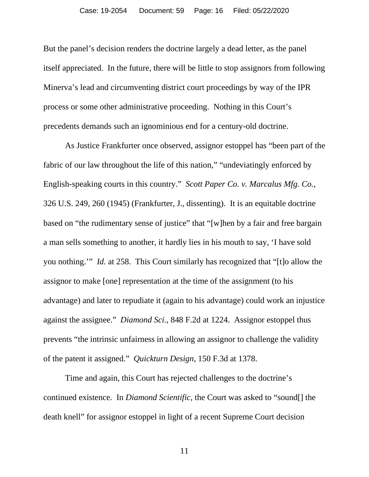But the panel's decision renders the doctrine largely a dead letter, as the panel itself appreciated. In the future, there will be little to stop assignors from following Minerva's lead and circumventing district court proceedings by way of the IPR process or some other administrative proceeding. Nothing in this Court's precedents demands such an ignominious end for a century-old doctrine.

As Justice Frankfurter once observed, assignor estoppel has "been part of the fabric of our law throughout the life of this nation," "undeviatingly enforced by English-speaking courts in this country." *Scott Paper Co. v. Marcalus Mfg. Co.*, 326 U.S. 249, 260 (1945) (Frankfurter, J., dissenting). It is an equitable doctrine based on "the rudimentary sense of justice" that "[w]hen by a fair and free bargain a man sells something to another, it hardly lies in his mouth to say, 'I have sold you nothing.'" *Id.* at 258. This Court similarly has recognized that "[t]o allow the assignor to make [one] representation at the time of the assignment (to his advantage) and later to repudiate it (again to his advantage) could work an injustice against the assignee." *Diamond Sci.*, 848 F.2d at 1224. Assignor estoppel thus prevents "the intrinsic unfairness in allowing an assignor to challenge the validity of the patent it assigned." *Quickturn Design*, 150 F.3d at 1378.

Time and again, this Court has rejected challenges to the doctrine's continued existence. In *Diamond Scientific*, the Court was asked to "sound[] the death knell" for assignor estoppel in light of a recent Supreme Court decision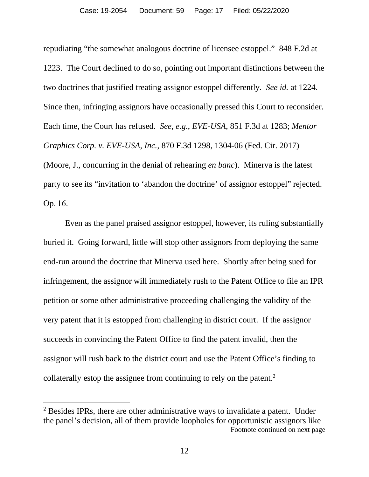repudiating "the somewhat analogous doctrine of licensee estoppel." 848 F.2d at 1223. The Court declined to do so, pointing out important distinctions between the two doctrines that justified treating assignor estoppel differently. *See id.* at 1224. Since then, infringing assignors have occasionally pressed this Court to reconsider. Each time, the Court has refused. *See, e.g.*, *EVE-USA*, 851 F.3d at 1283; *Mentor Graphics Corp. v. EVE-USA, Inc.*, 870 F.3d 1298, 1304-06 (Fed. Cir. 2017) (Moore, J., concurring in the denial of rehearing *en banc*). Minerva is the latest party to see its "invitation to 'abandon the doctrine' of assignor estoppel" rejected. Op. 16.

Even as the panel praised assignor estoppel, however, its ruling substantially buried it. Going forward, little will stop other assignors from deploying the same end-run around the doctrine that Minerva used here. Shortly after being sued for infringement, the assignor will immediately rush to the Patent Office to file an IPR petition or some other administrative proceeding challenging the validity of the very patent that it is estopped from challenging in district court. If the assignor succeeds in convincing the Patent Office to find the patent invalid, then the assignor will rush back to the district court and use the Patent Office's finding to collaterally estop the assignee from continuing to rely on the patent.<sup>2</sup>

<sup>&</sup>lt;sup>2</sup> Besides IPRs, there are other administrative ways to invalidate a patent. Under the panel's decision, all of them provide loopholes for opportunistic assignors like Footnote continued on next page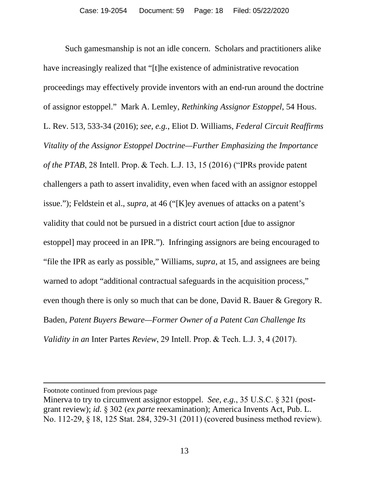Such gamesmanship is not an idle concern. Scholars and practitioners alike have increasingly realized that "[t]he existence of administrative revocation proceedings may effectively provide inventors with an end-run around the doctrine of assignor estoppel." Mark A. Lemley, *Rethinking Assignor Estoppel*, 54 Hous. L. Rev. 513, 533-34 (2016); *see, e.g.*, Eliot D. Williams, *Federal Circuit Reaffirms Vitality of the Assignor Estoppel Doctrine—Further Emphasizing the Importance of the PTAB*, 28 Intell. Prop. & Tech. L.J. 13, 15 (2016) ("IPRs provide patent challengers a path to assert invalidity, even when faced with an assignor estoppel issue."); Feldstein et al., *supra*, at 46 ("[K]ey avenues of attacks on a patent's validity that could not be pursued in a district court action [due to assignor estoppel] may proceed in an IPR."). Infringing assignors are being encouraged to "file the IPR as early as possible," Williams, *supra*, at 15, and assignees are being warned to adopt "additional contractual safeguards in the acquisition process," even though there is only so much that can be done, David R. Bauer & Gregory R. Baden, *Patent Buyers Beware—Former Owner of a Patent Can Challenge Its Validity in an* Inter Partes *Review*, 29 Intell. Prop. & Tech. L.J. 3, 4 (2017).

Footnote continued from previous page

Minerva to try to circumvent assignor estoppel. *See, e.g.*, 35 U.S.C. § 321 (postgrant review); *id.* § 302 (*ex parte* reexamination); America Invents Act, Pub. L. No. 112-29, § 18, 125 Stat. 284, 329-31 (2011) (covered business method review).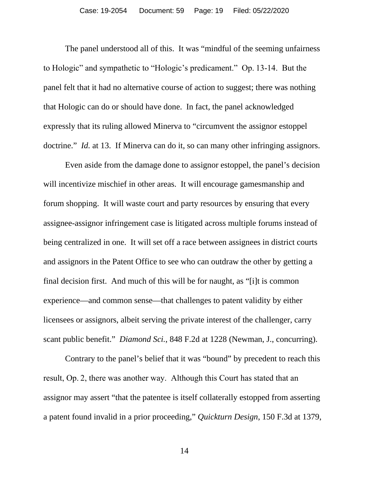The panel understood all of this. It was "mindful of the seeming unfairness to Hologic" and sympathetic to "Hologic's predicament." Op. 13-14. But the panel felt that it had no alternative course of action to suggest; there was nothing that Hologic can do or should have done. In fact, the panel acknowledged expressly that its ruling allowed Minerva to "circumvent the assignor estoppel doctrine." *Id.* at 13. If Minerva can do it, so can many other infringing assignors.

Even aside from the damage done to assignor estoppel, the panel's decision will incentivize mischief in other areas. It will encourage gamesmanship and forum shopping. It will waste court and party resources by ensuring that every assignee-assignor infringement case is litigated across multiple forums instead of being centralized in one. It will set off a race between assignees in district courts and assignors in the Patent Office to see who can outdraw the other by getting a final decision first. And much of this will be for naught, as "[i]t is common experience—and common sense—that challenges to patent validity by either licensees or assignors, albeit serving the private interest of the challenger, carry scant public benefit." *Diamond Sci.*, 848 F.2d at 1228 (Newman, J., concurring).

Contrary to the panel's belief that it was "bound" by precedent to reach this result, Op. 2, there was another way. Although this Court has stated that an assignor may assert "that the patentee is itself collaterally estopped from asserting a patent found invalid in a prior proceeding," *Quickturn Design*, 150 F.3d at 1379,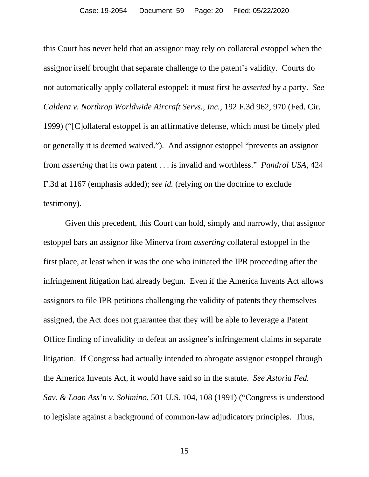this Court has never held that an assignor may rely on collateral estoppel when the assignor itself brought that separate challenge to the patent's validity. Courts do not automatically apply collateral estoppel; it must first be *asserted* by a party. *See Caldera v. Northrop Worldwide Aircraft Servs., Inc.*, 192 F.3d 962, 970 (Fed. Cir. 1999) ("[C]ollateral estoppel is an affirmative defense, which must be timely pled or generally it is deemed waived."). And assignor estoppel "prevents an assignor from *asserting* that its own patent . . . is invalid and worthless." *Pandrol USA*, 424 F.3d at 1167 (emphasis added); *see id.* (relying on the doctrine to exclude testimony).

Given this precedent, this Court can hold, simply and narrowly, that assignor estoppel bars an assignor like Minerva from *asserting* collateral estoppel in the first place, at least when it was the one who initiated the IPR proceeding after the infringement litigation had already begun. Even if the America Invents Act allows assignors to file IPR petitions challenging the validity of patents they themselves assigned, the Act does not guarantee that they will be able to leverage a Patent Office finding of invalidity to defeat an assignee's infringement claims in separate litigation. If Congress had actually intended to abrogate assignor estoppel through the America Invents Act, it would have said so in the statute. *See Astoria Fed. Sav. & Loan Ass'n v. Solimino*, 501 U.S. 104, 108 (1991) ("Congress is understood to legislate against a background of common-law adjudicatory principles. Thus,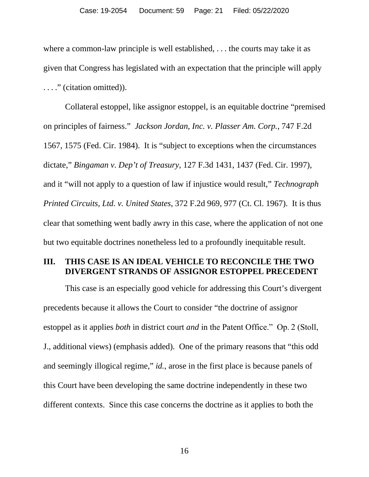where a common-law principle is well established, . . . the courts may take it as given that Congress has legislated with an expectation that the principle will apply . . . ." (citation omitted)).

Collateral estoppel, like assignor estoppel, is an equitable doctrine "premised on principles of fairness." *Jackson Jordan, Inc. v. Plasser Am. Corp.*, 747 F.2d 1567, 1575 (Fed. Cir. 1984). It is "subject to exceptions when the circumstances dictate," *Bingaman v. Dep't of Treasury*, 127 F.3d 1431, 1437 (Fed. Cir. 1997), and it "will not apply to a question of law if injustice would result," *Technograph Printed Circuits, Ltd. v. United States*, 372 F.2d 969, 977 (Ct. Cl. 1967). It is thus clear that something went badly awry in this case, where the application of not one but two equitable doctrines nonetheless led to a profoundly inequitable result.

### **III. THIS CASE IS AN IDEAL VEHICLE TO RECONCILE THE TWO DIVERGENT STRANDS OF ASSIGNOR ESTOPPEL PRECEDENT**

This case is an especially good vehicle for addressing this Court's divergent precedents because it allows the Court to consider "the doctrine of assignor estoppel as it applies *both* in district court *and* in the Patent Office." Op. 2 (Stoll, J., additional views) (emphasis added). One of the primary reasons that "this odd and seemingly illogical regime," *id.*, arose in the first place is because panels of this Court have been developing the same doctrine independently in these two different contexts. Since this case concerns the doctrine as it applies to both the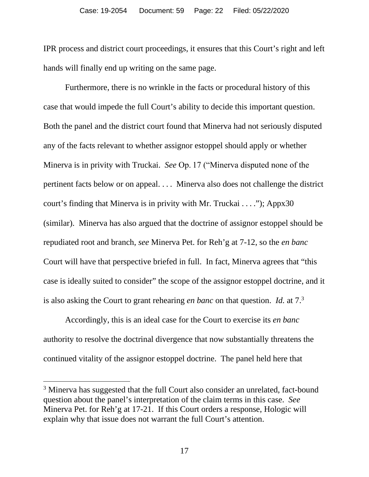IPR process and district court proceedings, it ensures that this Court's right and left hands will finally end up writing on the same page.

Furthermore, there is no wrinkle in the facts or procedural history of this case that would impede the full Court's ability to decide this important question. Both the panel and the district court found that Minerva had not seriously disputed any of the facts relevant to whether assignor estoppel should apply or whether Minerva is in privity with Truckai. *See* Op. 17 ("Minerva disputed none of the pertinent facts below or on appeal. . . . Minerva also does not challenge the district court's finding that Minerva is in privity with Mr. Truckai . . . ."); Appx30 (similar). Minerva has also argued that the doctrine of assignor estoppel should be repudiated root and branch, *see* Minerva Pet. for Reh'g at 7-12, so the *en banc* Court will have that perspective briefed in full. In fact, Minerva agrees that "this case is ideally suited to consider" the scope of the assignor estoppel doctrine, and it is also asking the Court to grant rehearing *en banc* on that question. *Id.* at 7.<sup>3</sup>

Accordingly, this is an ideal case for the Court to exercise its *en banc* authority to resolve the doctrinal divergence that now substantially threatens the continued vitality of the assignor estoppel doctrine. The panel held here that

<sup>&</sup>lt;sup>3</sup> Minerva has suggested that the full Court also consider an unrelated, fact-bound question about the panel's interpretation of the claim terms in this case. *See* Minerva Pet. for Reh'g at 17-21. If this Court orders a response, Hologic will explain why that issue does not warrant the full Court's attention.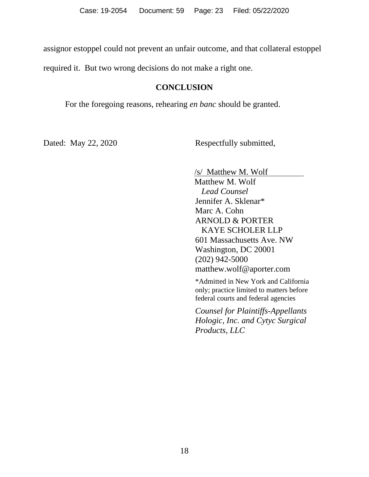assignor estoppel could not prevent an unfair outcome, and that collateral estoppel

required it. But two wrong decisions do not make a right one.

## **CONCLUSION**

For the foregoing reasons, rehearing *en banc* should be granted.

Dated: May 22, 2020 Respectfully submitted,

/s/ Matthew M. Wolf Matthew M. Wolf  *Lead Counsel* Jennifer A. Sklenar\* Marc A. Cohn ARNOLD & PORTER KAYE SCHOLER LLP 601 Massachusetts Ave. NW Washington, DC 20001 (202) 942-5000 matthew.wolf@aporter.com

\*Admitted in New York and California only; practice limited to matters before federal courts and federal agencies

*Counsel for Plaintiffs-Appellants Hologic, Inc. and Cytyc Surgical Products, LLC*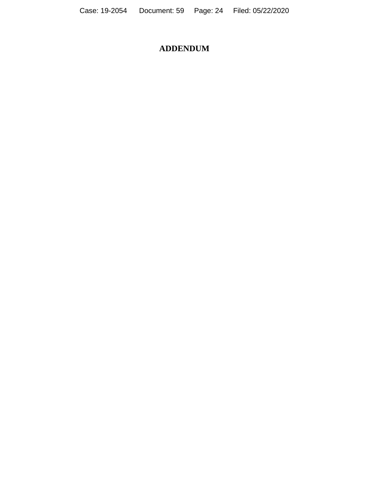# **ADDENDUM**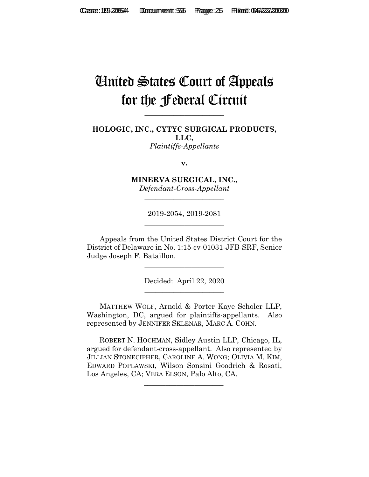# United States Court of Appeals for the Federal Circuit

**\_\_\_\_\_\_\_\_\_\_\_\_\_\_\_\_\_\_\_\_\_\_**

**HOLOGIC, INC., CYTYC SURGICAL PRODUCTS, LLC,** *Plaintiffs-Appellants*

**v.**

**MINERVA SURGICAL, INC.,** *Defendant-Cross-Appellant*

**\_\_\_\_\_\_\_\_\_\_\_\_\_\_\_\_\_\_\_\_\_\_**

2019-2054, 2019-2081 **\_\_\_\_\_\_\_\_\_\_\_\_\_\_\_\_\_\_\_\_\_\_**

Appeals from the United States District Court for the District of Delaware in No. 1:15-cv-01031-JFB-SRF, Senior Judge Joseph F. Bataillon.

> Decided: April 22, 2020 **\_\_\_\_\_\_\_\_\_\_\_\_\_\_\_\_\_\_\_\_\_\_**

**\_\_\_\_\_\_\_\_\_\_\_\_\_\_\_\_\_\_\_\_\_\_**

MATTHEW WOLF, Arnold & Porter Kaye Scholer LLP, Washington, DC, argued for plaintiffs-appellants. Also represented by JENNIFER SKLENAR, MARC A. COHN.

 ROBERT N. HOCHMAN, Sidley Austin LLP, Chicago, IL, argued for defendant-cross-appellant. Also represented by JILLIAN STONECIPHER, CAROLINE A. WONG; OLIVIA M. KIM, EDWARD POPLAWSKI, Wilson Sonsini Goodrich & Rosati, Los Angeles, CA; VERA ELSON, Palo Alto, CA.

 $\mathcal{L}_\text{max}$  and  $\mathcal{L}_\text{max}$  and  $\mathcal{L}_\text{max}$  and  $\mathcal{L}_\text{max}$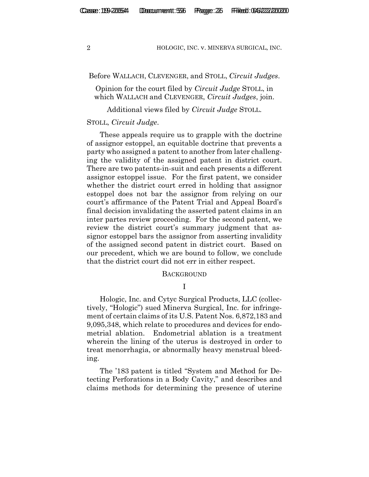Before WALLACH, CLEVENGER, and STOLL, *Circuit Judges*.

Opinion for the court filed by *Circuit Judge* STOLL, in which WALLACH and CLEVENGER, *Circuit Judges*, join.

Additional views filed by *Circuit Judge* STOLL.

#### STOLL, *Circuit Judge*.

These appeals require us to grapple with the doctrine of assignor estoppel, an equitable doctrine that prevents a party who assigned a patent to another from later challenging the validity of the assigned patent in district court. There are two patents-in-suit and each presents a different assignor estoppel issue. For the first patent, we consider whether the district court erred in holding that assignor estoppel does not bar the assignor from relying on our court's affirmance of the Patent Trial and Appeal Board's final decision invalidating the asserted patent claims in an inter partes review proceeding. For the second patent, we review the district court's summary judgment that assignor estoppel bars the assignor from asserting invalidity of the assigned second patent in district court. Based on our precedent, which we are bound to follow, we conclude that the district court did not err in either respect.

#### **BACKGROUND**

I

Hologic, Inc. and Cytyc Surgical Products, LLC (collectively, "Hologic") sued Minerva Surgical, Inc. for infringement of certain claims of its U.S. Patent Nos. 6,872,183 and 9,095,348, which relate to procedures and devices for endometrial ablation. Endometrial ablation is a treatment wherein the lining of the uterus is destroyed in order to treat menorrhagia, or abnormally heavy menstrual bleeding.

The '183 patent is titled "System and Method for Detecting Perforations in a Body Cavity," and describes and claims methods for determining the presence of uterine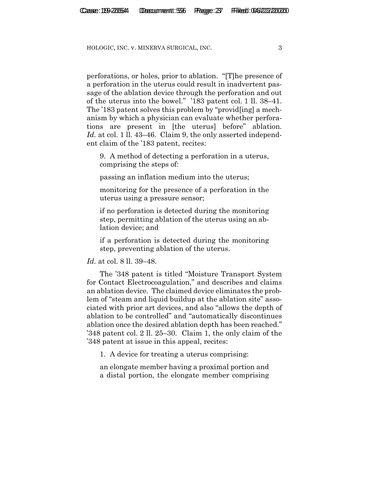perforations, or holes, prior to ablation. "[T]he presence of a perforation in the uterus could result in inadvertent passage of the ablation device through the perforation and out of the uterus into the bowel." '183 patent col. 1 ll. 38–41. The '183 patent solves this problem by "provid[ing] a mechanism by which a physician can evaluate whether perforations are present in [the uterus] before" ablation. *Id.* at col. 1 ll. 43–46. Claim 9, the only asserted independent claim of the '183 patent, recites:

9. A method of detecting a perforation in a uterus, comprising the steps of:

passing an inflation medium into the uterus;

monitoring for the presence of a perforation in the uterus using a pressure sensor;

if no perforation is detected during the monitoring step, permitting ablation of the uterus using an ablation device; and

if a perforation is detected during the monitoring step, preventing ablation of the uterus.

#### *Id.* at col. 8 ll. 39–48.

The '348 patent is titled "Moisture Transport System for Contact Electrocoagulation," and describes and claims an ablation device. The claimed device eliminates the problem of "steam and liquid buildup at the ablation site" associated with prior art devices, and also "allows the depth of ablation to be controlled" and "automatically discontinues ablation once the desired ablation depth has been reached." '348 patent col. 2 ll. 25–30. Claim 1, the only claim of the '348 patent at issue in this appeal, recites:

1. A device for treating a uterus comprising:

an elongate member having a proximal portion and a distal portion, the elongate member comprising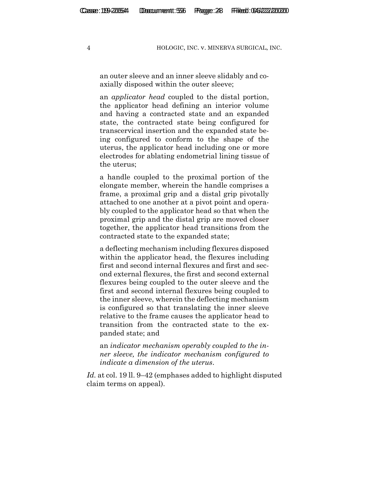an outer sleeve and an inner sleeve slidably and coaxially disposed within the outer sleeve;

an *applicator head* coupled to the distal portion, the applicator head defining an interior volume and having a contracted state and an expanded state, the contracted state being configured for transcervical insertion and the expanded state being configured to conform to the shape of the uterus, the applicator head including one or more electrodes for ablating endometrial lining tissue of the uterus;

a handle coupled to the proximal portion of the elongate member, wherein the handle comprises a frame, a proximal grip and a distal grip pivotally attached to one another at a pivot point and operably coupled to the applicator head so that when the proximal grip and the distal grip are moved closer together, the applicator head transitions from the contracted state to the expanded state;

a deflecting mechanism including flexures disposed within the applicator head, the flexures including first and second internal flexures and first and second external flexures, the first and second external flexures being coupled to the outer sleeve and the first and second internal flexures being coupled to the inner sleeve, wherein the deflecting mechanism is configured so that translating the inner sleeve relative to the frame causes the applicator head to transition from the contracted state to the expanded state; and

an *indicator mechanism operably coupled to the inner sleeve, the indicator mechanism configured to indicate a dimension of the uterus*.

*Id.* at col. 19 ll. 9–42 (emphases added to highlight disputed claim terms on appeal).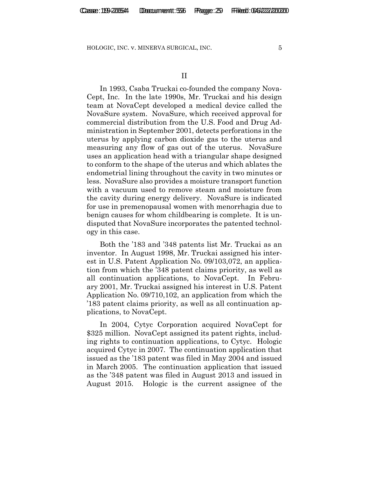In 1993, Csaba Truckai co-founded the company Nova-Cept, Inc. In the late 1990s, Mr. Truckai and his design team at NovaCept developed a medical device called the NovaSure system. NovaSure, which received approval for commercial distribution from the U.S. Food and Drug Administration in September 2001, detects perforations in the uterus by applying carbon dioxide gas to the uterus and measuring any flow of gas out of the uterus.NovaSure uses an application head with a triangular shape designed to conform to the shape of the uterus and which ablates the endometrial lining throughout the cavity in two minutes or less. NovaSure also provides a moisture transport function with a vacuum used to remove steam and moisture from the cavity during energy delivery. NovaSure is indicated for use in premenopausal women with menorrhagia due to benign causes for whom childbearing is complete. It is undisputed that NovaSure incorporates the patented technology in this case.

Both the '183 and '348 patents list Mr. Truckai as an inventor. In August 1998, Mr. Truckai assigned his interest in U.S. Patent Application No. 09/103,072, an application from which the '348 patent claims priority, as well as all continuation applications, to NovaCept. In February 2001, Mr. Truckai assigned his interest in U.S. Patent Application No. 09/710,102, an application from which the '183 patent claims priority, as well as all continuation applications, to NovaCept.

In 2004, Cytyc Corporation acquired NovaCept for \$325 million. NovaCept assigned its patent rights, including rights to continuation applications, to Cytyc. Hologic acquired Cytyc in 2007. The continuation application that issued as the '183 patent was filed in May 2004 and issued in March 2005. The continuation application that issued as the '348 patent was filed in August 2013 and issued in August 2015. Hologic is the current assignee of the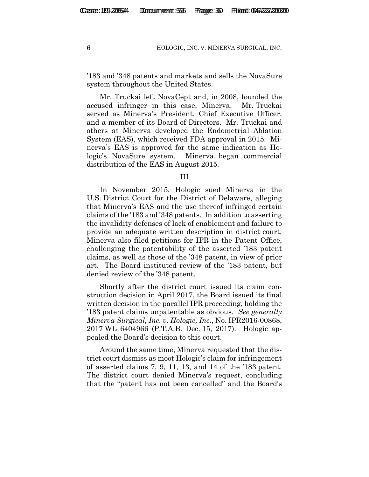'183 and '348 patents and markets and sells the NovaSure system throughout the United States.

Mr. Truckai left NovaCept and, in 2008, founded the accused infringer in this case, Minerva.Mr. Truckai served as Minerva's President, Chief Executive Officer, and a member of its Board of Directors. Mr. Truckai and others at Minerva developed the Endometrial Ablation System (EAS), which received FDA approval in 2015. Minerva's EAS is approved for the same indication as Hologic's NovaSure system. Minerva began commercial distribution of the EAS in August 2015.

#### III

In November 2015, Hologic sued Minerva in the U.S. District Court for the District of Delaware, alleging that Minerva's EAS and the use thereof infringed certain claims of the '183 and '348 patents. In addition to asserting the invalidity defenses of lack of enablement and failure to provide an adequate written description in district court, Minerva also filed petitions for IPR in the Patent Office, challenging the patentability of the asserted '183 patent claims, as well as those of the '348 patent, in view of prior art. The Board instituted review of the '183 patent, but denied review of the '348 patent.

Shortly after the district court issued its claim construction decision in April 2017, the Board issued its final written decision in the parallel IPR proceeding, holding the '183 patent claims unpatentable as obvious. *See generally Minerva Surgical, Inc. v. Hologic, Inc.*, No. IPR2016-00868, 2017 WL 6404966 (P.T.A.B. Dec. 15, 2017). Hologic appealed the Board's decision to this court.

Around the same time, Minerva requested that the district court dismiss as moot Hologic's claim for infringement of asserted claims 7, 9, 11, 13, and 14 of the '183 patent. The district court denied Minerva's request, concluding that the "patent has not been cancelled" and the Board's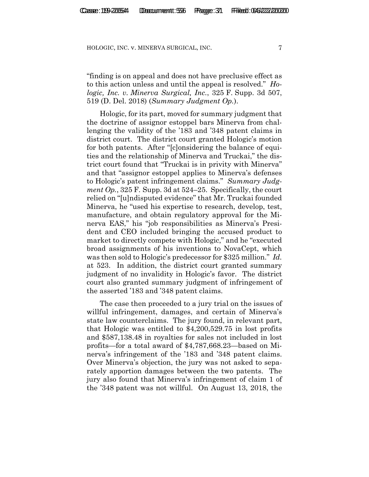"finding is on appeal and does not have preclusive effect as to this action unless and until the appeal is resolved." *Hologic, Inc. v. Minerva Surgical, Inc.*, 325 F. Supp. 3d 507, 519 (D. Del. 2018) (*Summary Judgment Op.*).

Hologic, for its part, moved for summary judgment that the doctrine of assignor estoppel bars Minerva from challenging the validity of the '183 and '348 patent claims in district court. The district court granted Hologic's motion for both patents. After "[c]onsidering the balance of equities and the relationship of Minerva and Truckai," the district court found that "Truckai is in privity with Minerva" and that "assignor estoppel applies to Minerva's defenses to Hologic's patent infringement claims." *Summary Judgment Op.*, 325 F. Supp. 3d at 524–25. Specifically, the court relied on "[u]ndisputed evidence" that Mr. Truckai founded Minerva, he "used his expertise to research, develop, test, manufacture, and obtain regulatory approval for the Minerva EAS," his "job responsibilities as Minerva's President and CEO included bringing the accused product to market to directly compete with Hologic," and he "executed broad assignments of his inventions to NovaCept, which was then sold to Hologic's predecessor for \$325 million." *Id.*  at 523. In addition, the district court granted summary judgment of no invalidity in Hologic's favor. The district court also granted summary judgment of infringement of the asserted '183 and '348 patent claims.

The case then proceeded to a jury trial on the issues of willful infringement, damages, and certain of Minerva's state law counterclaims. The jury found, in relevant part, that Hologic was entitled to \$4,200,529.75 in lost profits and \$587,138.48 in royalties for sales not included in lost profits—for a total award of \$4,787,668.23—based on Minerva's infringement of the '183 and '348 patent claims. Over Minerva's objection, the jury was not asked to separately apportion damages between the two patents. The jury also found that Minerva's infringement of claim 1 of the '348 patent was not willful. On August 13, 2018, the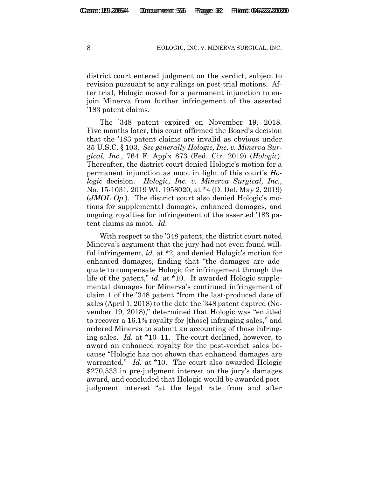district court entered judgment on the verdict, subject to revision pursuant to any rulings on post-trial motions. After trial, Hologic moved for a permanent injunction to enjoin Minerva from further infringement of the asserted '183 patent claims.

The '348 patent expired on November 19, 2018. Five months later, this court affirmed the Board's decision that the '183 patent claims are invalid as obvious under 35 U.S.C. § 103. *See generally Hologic, Inc. v. Minerva Surgical, Inc.*, 764 F. App'x 873 (Fed. Cir. 2019) (*Hologic*). Thereafter, the district court denied Hologic's motion for a permanent injunction as moot in light of this court's *Hologic* decision. *Hologic, Inc. v. Minerva Surgical, Inc.*, No. 15-1031, 2019 WL 1958020, at \*4 (D. Del. May 2, 2019) (*JMOL Op.*). The district court also denied Hologic's motions for supplemental damages, enhanced damages, and ongoing royalties for infringement of the asserted '183 patent claims as moot. *Id.*

With respect to the '348 patent, the district court noted Minerva's argument that the jury had not even found willful infringement, *id.* at \*2, and denied Hologic's motion for enhanced damages, finding that "the damages are adequate to compensate Hologic for infringement through the life of the patent," *id.* at \*10. It awarded Hologic supplemental damages for Minerva's continued infringement of claim 1 of the '348 patent "from the last-produced date of sales (April 1, 2018) to the date the '348 patent expired (November 19, 2018)," determined that Hologic was "entitled to recover a 16.1% royalty for [those] infringing sales," and ordered Minerva to submit an accounting of those infringing sales. *Id.* at \*10–11. The court declined, however, to award an enhanced royalty for the post-verdict sales because "Hologic has not shown that enhanced damages are warranted." *Id.* at \*10. The court also awarded Hologic \$270,533 in pre-judgment interest on the jury's damages award, and concluded that Hologic would be awarded postjudgment interest "at the legal rate from and after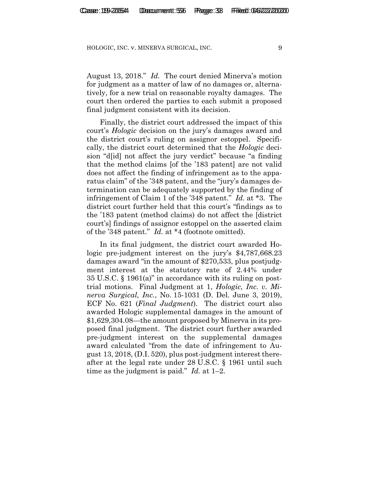August 13, 2018." *Id.* The court denied Minerva's motion for judgment as a matter of law of no damages or, alternatively, for a new trial on reasonable royalty damages. The court then ordered the parties to each submit a proposed final judgment consistent with its decision.

Finally, the district court addressed the impact of this court's *Hologic* decision on the jury's damages award and the district court's ruling on assignor estoppel. Specifically, the district court determined that the *Hologic* decision "d[id] not affect the jury verdict" because "a finding that the method claims [of the '183 patent] are not valid does not affect the finding of infringement as to the apparatus claim" of the '348 patent, and the "jury's damages determination can be adequately supported by the finding of infringement of Claim 1 of the '348 patent." *Id.* at \*3. The district court further held that this court's "findings as to the '183 patent (method claims) do not affect the [district court's] findings of assignor estoppel on the asserted claim of the '348 patent." *Id.* at \*4 (footnote omitted).

In its final judgment, the district court awarded Hologic pre-judgment interest on the jury's \$4,787,668.23 damages award "in the amount of \$270,533, plus postjudgment interest at the statutory rate of 2.44% under 35 U.S.C. § 1961(a)" in accordance with its ruling on posttrial motions. Final Judgment at 1, *Hologic, Inc. v. Minerva Surgical, Inc.*, No. 15-1031 (D. Del. June 3, 2019), ECF No. 621 (*Final Judgment*). The district court also awarded Hologic supplemental damages in the amount of \$1,629,304.08—the amount proposed by Minerva in its proposed final judgment. The district court further awarded pre-judgment interest on the supplemental damages award calculated "from the date of infringement to August 13, 2018, (D.I. 520), plus post-judgment interest thereafter at the legal rate under 28 U.S.C. § 1961 until such time as the judgment is paid." *Id.* at 1–2.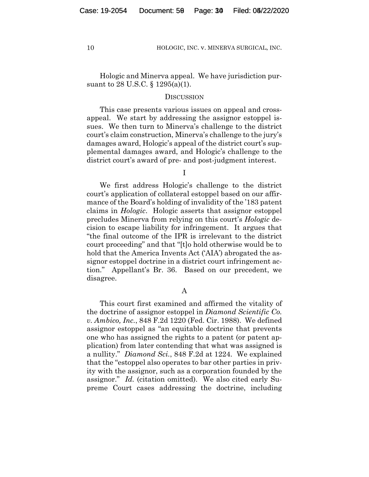Hologic and Minerva appeal. We have jurisdiction pursuant to 28 U.S.C. § 1295(a)(1).

#### **DISCUSSION**

This case presents various issues on appeal and crossappeal. We start by addressing the assignor estoppel issues. We then turn to Minerva's challenge to the district court's claim construction, Minerva's challenge to the jury's damages award, Hologic's appeal of the district court's supplemental damages award, and Hologic's challenge to the district court's award of pre- and post-judgment interest.

I

We first address Hologic's challenge to the district court's application of collateral estoppel based on our affirmance of the Board's holding of invalidity of the '183 patent claims in *Hologic*. Hologic asserts that assignor estoppel precludes Minerva from relying on this court's *Hologic* decision to escape liability for infringement. It argues that "the final outcome of the IPR is irrelevant to the district court proceeding" and that "[t]o hold otherwise would be to hold that the America Invents Act ('AIA') abrogated the assignor estoppel doctrine in a district court infringement action." Appellant's Br. 36. Based on our precedent, we disagree.

A

This court first examined and affirmed the vitality of the doctrine of assignor estoppel in *Diamond Scientific Co. v. Ambico, Inc.*, 848 F.2d 1220 (Fed. Cir. 1988). We defined assignor estoppel as "an equitable doctrine that prevents one who has assigned the rights to a patent (or patent application) from later contending that what was assigned is a nullity." *Diamond Sci.*, 848 F.2d at 1224. We explained that the "estoppel also operates to bar other parties in privity with the assignor, such as a corporation founded by the assignor." *Id.* (citation omitted). We also cited early Supreme Court cases addressing the doctrine, including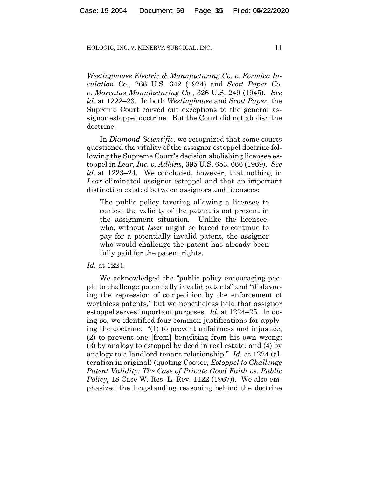*Westinghouse Electric & Manufacturing Co. v. Formica Insulation Co.*, 266 U.S. 342 (1924) and *Scott Paper Co. v. Marcalus Manufacturing Co.*, 326 U.S. 249 (1945). *See id.* at 1222–23. In both *Westinghouse* and *Scott Paper*, the Supreme Court carved out exceptions to the general assignor estoppel doctrine. But the Court did not abolish the doctrine.

In *Diamond Scientific*, we recognized that some courts questioned the vitality of the assignor estoppel doctrine following the Supreme Court's decision abolishing licensee estoppel in *Lear, Inc. v. Adkins*, 395 U.S. 653, 666 (1969). *See id.* at 1223–24. We concluded, however, that nothing in *Lear* eliminated assignor estoppel and that an important distinction existed between assignors and licensees:

The public policy favoring allowing a licensee to contest the validity of the patent is not present in the assignment situation. Unlike the licensee, who, without *Lear* might be forced to continue to pay for a potentially invalid patent, the assignor who would challenge the patent has already been fully paid for the patent rights.

#### *Id.* at 1224.

We acknowledged the "public policy encouraging people to challenge potentially invalid patents" and "disfavoring the repression of competition by the enforcement of worthless patents," but we nonetheless held that assignor estoppel serves important purposes. *Id.* at 1224–25. In doing so, we identified four common justifications for applying the doctrine: "(1) to prevent unfairness and injustice; (2) to prevent one [from] benefiting from his own wrong; (3) by analogy to estoppel by deed in real estate; and (4) by analogy to a landlord-tenant relationship." *Id.* at 1224 (alteration in original) (quoting Cooper, *Estoppel to Challenge Patent Validity: The Case of Private Good Faith vs. Public Policy,* 18 Case W. Res. L. Rev. 1122 (1967)). We also emphasized the longstanding reasoning behind the doctrine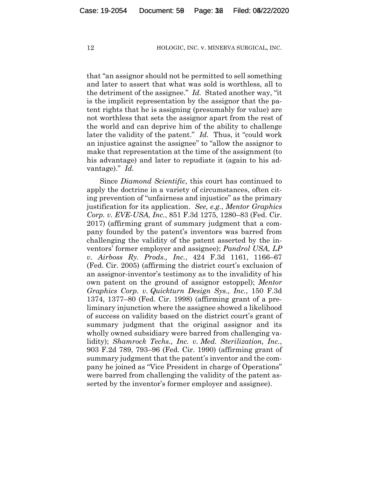that "an assignor should not be permitted to sell something and later to assert that what was sold is worthless, all to the detriment of the assignee." *Id.* Stated another way, "it is the implicit representation by the assignor that the patent rights that he is assigning (presumably for value) are not worthless that sets the assignor apart from the rest of the world and can deprive him of the ability to challenge later the validity of the patent." *Id.* Thus, it "could work an injustice against the assignee" to "allow the assignor to make that representation at the time of the assignment (to his advantage) and later to repudiate it (again to his advantage)." *Id.*

Since *Diamond Scientific*, this court has continued to apply the doctrine in a variety of circumstances, often citing prevention of "unfairness and injustice" as the primary justification for its application. *See, e.g.*, *Mentor Graphics Corp. v. EVE-USA, Inc.*, 851 F.3d 1275, 1280–83 (Fed. Cir. 2017) (affirming grant of summary judgment that a company founded by the patent's inventors was barred from challenging the validity of the patent asserted by the inventors' former employer and assignee); *Pandrol USA, LP v. Airboss Ry. Prods., Inc.*, 424 F.3d 1161, 1166–67 (Fed. Cir. 2005) (affirming the district court's exclusion of an assignor-inventor's testimony as to the invalidity of his own patent on the ground of assignor estoppel); *Mentor Graphics Corp. v. Quickturn Design Sys., Inc.*, 150 F.3d 1374, 1377–80 (Fed. Cir. 1998) (affirming grant of a preliminary injunction where the assignee showed a likelihood of success on validity based on the district court's grant of summary judgment that the original assignor and its wholly owned subsidiary were barred from challenging validity); *Shamrock Techs., Inc. v. Med. Sterilization, Inc.*, 903 F.2d 789, 793–96 (Fed. Cir. 1990) (affirming grant of summary judgment that the patent's inventor and the company he joined as "Vice President in charge of Operations" were barred from challenging the validity of the patent asserted by the inventor's former employer and assignee).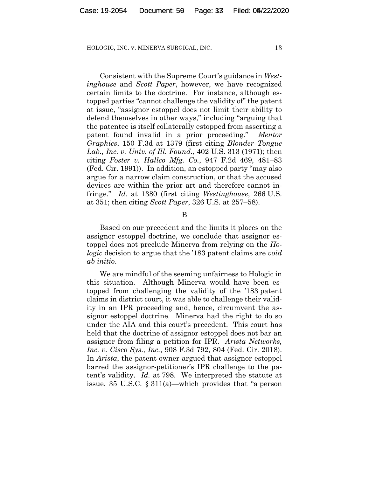Consistent with the Supreme Court's guidance in *Westinghouse* and *Scott Paper*, however, we have recognized certain limits to the doctrine. For instance, although estopped parties "cannot challenge the validity of" the patent at issue, "assignor estoppel does not limit their ability to defend themselves in other ways," including "arguing that the patentee is itself collaterally estopped from asserting a patent found invalid in a prior proceeding." *Mentor Graphics*, 150 F.3d at 1379 (first citing *Blonder–Tongue Lab., Inc. v. Univ. of Ill. Found.*, 402 U.S. 313 (1971); then citing *Foster v. Hallco Mfg. Co.*, 947 F.2d 469, 481–83 (Fed. Cir. 1991)). In addition, an estopped party "may also argue for a narrow claim construction, or that the accused devices are within the prior art and therefore cannot infringe." *Id.* at 1380 (first citing *Westinghouse*, 266 U.S. at 351; then citing *Scott Paper*, 326 U.S. at 257–58).

#### B

Based on our precedent and the limits it places on the assignor estoppel doctrine, we conclude that assignor estoppel does not preclude Minerva from relying on the *Hologic* decision to argue that the '183 patent claims are *void ab initio*.

We are mindful of the seeming unfairness to Hologic in this situation. Although Minerva would have been estopped from challenging the validity of the '183 patent claims in district court, it was able to challenge their validity in an IPR proceeding and, hence, circumvent the assignor estoppel doctrine. Minerva had the right to do so under the AIA and this court's precedent. This court has held that the doctrine of assignor estoppel does not bar an assignor from filing a petition for IPR. *Arista Networks, Inc. v. Cisco Sys., Inc.*, 908 F.3d 792, 804 (Fed. Cir. 2018). In *Arista*, the patent owner argued that assignor estoppel barred the assignor-petitioner's IPR challenge to the patent's validity. *Id.* at 798. We interpreted the statute at issue, 35 U.S.C. § 311(a)—which provides that "a person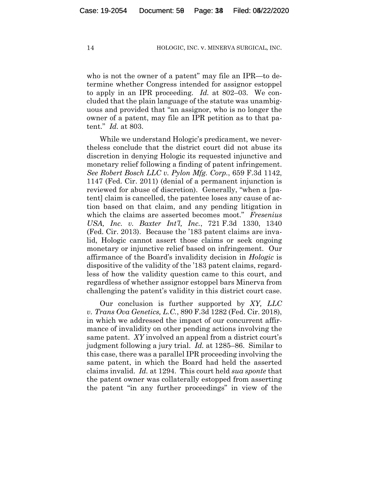who is not the owner of a patent" may file an IPR—to determine whether Congress intended for assignor estoppel to apply in an IPR proceeding. *Id.* at 802–03. We concluded that the plain language of the statute was unambiguous and provided that "an assignor, who is no longer the owner of a patent, may file an IPR petition as to that patent." *Id.* at 803.

While we understand Hologic's predicament, we nevertheless conclude that the district court did not abuse its discretion in denying Hologic its requested injunctive and monetary relief following a finding of patent infringement. *See Robert Bosch LLC v. Pylon Mfg. Corp.*, 659 F.3d 1142, 1147 (Fed. Cir. 2011) (denial of a permanent injunction is reviewed for abuse of discretion). Generally, "when a [patent] claim is cancelled, the patentee loses any cause of action based on that claim, and any pending litigation in which the claims are asserted becomes moot." *Fresenius USA, Inc. v. Baxter Int'l, Inc.*, 721 F.3d 1330, 1340 (Fed. Cir. 2013). Because the '183 patent claims are invalid, Hologic cannot assert those claims or seek ongoing monetary or injunctive relief based on infringement. Our affirmance of the Board's invalidity decision in *Hologic* is dispositive of the validity of the '183 patent claims, regardless of how the validity question came to this court, and regardless of whether assignor estoppel bars Minerva from challenging the patent's validity in this district court case.

Our conclusion is further supported by *XY, LLC v. Trans Ova Genetics, L.C.*, 890 F.3d 1282 (Fed. Cir. 2018), in which we addressed the impact of our concurrent affirmance of invalidity on other pending actions involving the same patent. *XY* involved an appeal from a district court's judgment following a jury trial. *Id.* at 1285–86. Similar to this case, there was a parallel IPR proceeding involving the same patent, in which the Board had held the asserted claims invalid. *Id.* at 1294. This court held *sua sponte* that the patent owner was collaterally estopped from asserting the patent "in any further proceedings" in view of the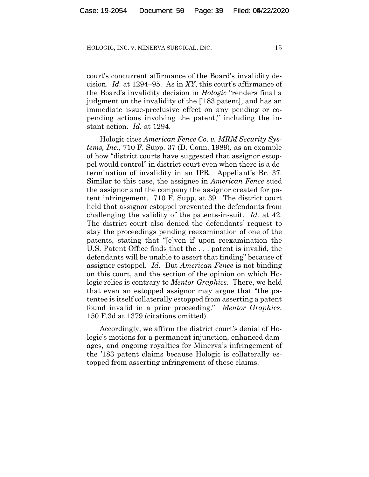court's concurrent affirmance of the Board's invalidity decision. *Id.* at 1294–95. As in *XY*, this court's affirmance of the Board's invalidity decision in *Hologic* "renders final a judgment on the invalidity of the ['183 patent], and has an immediate issue-preclusive effect on any pending or copending actions involving the patent," including the instant action. *Id.* at 1294.

Hologic cites *American Fence Co. v. MRM Security Systems, Inc.*, 710 F. Supp. 37 (D. Conn. 1989), as an example of how "district courts have suggested that assignor estoppel would control" in district court even when there is a determination of invalidity in an IPR. Appellant's Br. 37. Similar to this case, the assignee in *American Fence* sued the assignor and the company the assignor created for patent infringement. 710 F. Supp. at 39. The district court held that assignor estoppel prevented the defendants from challenging the validity of the patents-in-suit. *Id.* at 42. The district court also denied the defendants' request to stay the proceedings pending reexamination of one of the patents, stating that "[e]ven if upon reexamination the U.S. Patent Office finds that the . . . patent is invalid, the defendants will be unable to assert that finding" because of assignor estoppel. *Id.* But *American Fence* is not binding on this court, and the section of the opinion on which Hologic relies is contrary to *Mentor Graphics*. There, we held that even an estopped assignor may argue that "the patentee is itself collaterally estopped from asserting a patent found invalid in a prior proceeding." *Mentor Graphics*, 150 F.3d at 1379 (citations omitted).

Accordingly, we affirm the district court's denial of Hologic's motions for a permanent injunction, enhanced damages, and ongoing royalties for Minerva's infringement of the '183 patent claims because Hologic is collaterally estopped from asserting infringement of these claims.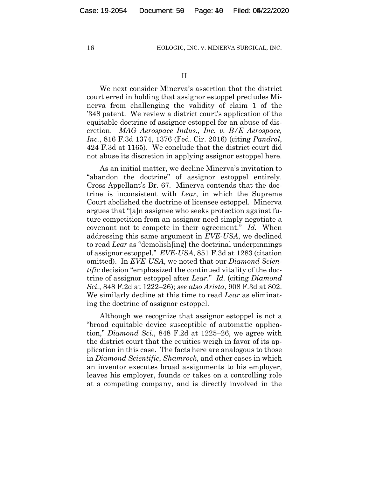II

We next consider Minerva's assertion that the district court erred in holding that assignor estoppel precludes Minerva from challenging the validity of claim 1 of the '348 patent. We review a district court's application of the equitable doctrine of assignor estoppel for an abuse of discretion. *MAG Aerospace Indus., Inc. v. B/E Aerospace, Inc.*, 816 F.3d 1374, 1376 (Fed. Cir. 2016) (citing *Pandrol*, 424 F.3d at 1165). We conclude that the district court did not abuse its discretion in applying assignor estoppel here.

As an initial matter, we decline Minerva's invitation to "abandon the doctrine" of assignor estoppel entirely. Cross-Appellant's Br. 67. Minerva contends that the doctrine is inconsistent with *Lear*, in which the Supreme Court abolished the doctrine of licensee estoppel. Minerva argues that "[a]n assignee who seeks protection against future competition from an assignor need simply negotiate a covenant not to compete in their agreement." *Id.* When addressing this same argument in *EVE-USA*, we declined to read *Lear* as "demolish[ing] the doctrinal underpinnings of assignor estoppel." *EVE-USA*, 851 F.3d at 1283 (citation omitted). In *EVE-USA*, we noted that our *Diamond Scientific* decision "emphasized the continued vitality of the doctrine of assignor estoppel after *Lear*." *Id.* (citing *Diamond Sci.*, 848 F.2d at 1222–26); *see also Arista*, 908 F.3d at 802. We similarly decline at this time to read *Lear* as eliminating the doctrine of assignor estoppel.

Although we recognize that assignor estoppel is not a "broad equitable device susceptible of automatic application," *Diamond Sci.*, 848 F.2d at 1225–26, we agree with the district court that the equities weigh in favor of its application in this case. The facts here are analogous to those in *Diamond Scientific*, *Shamrock*, and other cases in which an inventor executes broad assignments to his employer, leaves his employer, founds or takes on a controlling role at a competing company, and is directly involved in the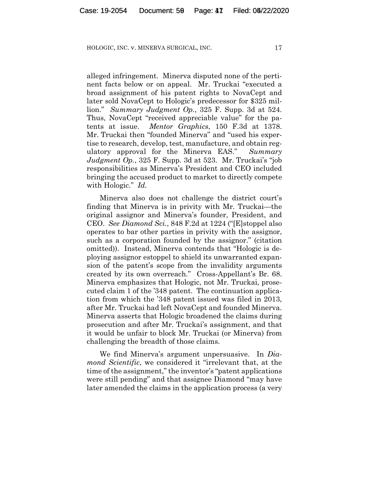alleged infringement. Minerva disputed none of the pertinent facts below or on appeal. Mr. Truckai "executed a broad assignment of his patent rights to NovaCept and later sold NovaCept to Hologic's predecessor for \$325 million." *Summary Judgment Op.*, 325 F. Supp. 3d at 524. Thus, NovaCept "received appreciable value" for the patents at issue. *Mentor Graphics*, 150 F.3d at 1378. Mr. Truckai then "founded Minerva" and "used his expertise to research, develop, test, manufacture, and obtain regulatory approval for the Minerva EAS." *Summary Judgment Op.*, 325 F. Supp. 3d at 523.Mr. Truckai's "job responsibilities as Minerva's President and CEO included bringing the accused product to market to directly compete with Hologic." *Id.*

Minerva also does not challenge the district court's finding that Minerva is in privity with Mr. Truckai—the original assignor and Minerva's founder, President, and CEO. *See Diamond Sci.*, 848 F.2d at 1224 ("[E]stoppel also operates to bar other parties in privity with the assignor, such as a corporation founded by the assignor." (citation omitted)). Instead, Minerva contends that "Hologic is deploying assignor estoppel to shield its unwarranted expansion of the patent's scope from the invalidity arguments created by its own overreach." Cross-Appellant's Br. 68. Minerva emphasizes that Hologic, not Mr. Truckai, prosecuted claim 1 of the '348 patent. The continuation application from which the '348 patent issued was filed in 2013, after Mr. Truckai had left NovaCept and founded Minerva. Minerva asserts that Hologic broadened the claims during prosecution and after Mr. Truckai's assignment, and that it would be unfair to block Mr. Truckai (or Minerva) from challenging the breadth of those claims.

We find Minerva's argument unpersuasive. In *Diamond Scientific*, we considered it "irrelevant that, at the time of the assignment," the inventor's "patent applications were still pending" and that assignee Diamond "may have later amended the claims in the application process (a very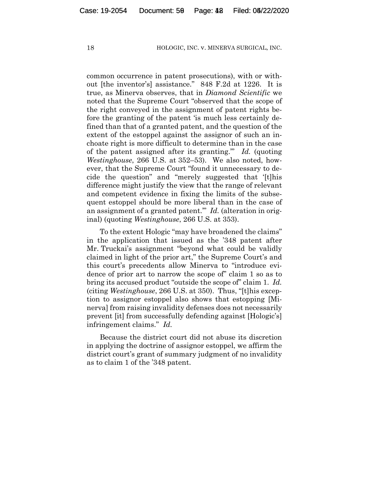common occurrence in patent prosecutions), with or without [the inventor's] assistance." 848 F.2d at 1226. It is true, as Minerva observes, that in *Diamond Scientific* we noted that the Supreme Court "observed that the scope of the right conveyed in the assignment of patent rights before the granting of the patent 'is much less certainly defined than that of a granted patent, and the question of the extent of the estoppel against the assignor of such an inchoate right is more difficult to determine than in the case of the patent assigned after its granting.'" *Id.* (quoting *Westinghouse*, 266 U.S. at 352–53). We also noted, however, that the Supreme Court "found it unnecessary to decide the question" and "merely suggested that '[t]his difference might justify the view that the range of relevant and competent evidence in fixing the limits of the subsequent estoppel should be more liberal than in the case of an assignment of a granted patent.'" *Id.* (alteration in original) (quoting *Westinghouse*, 266 U.S. at 353).

To the extent Hologic "may have broadened the claims" in the application that issued as the '348 patent after Mr. Truckai's assignment "beyond what could be validly claimed in light of the prior art," the Supreme Court's and this court's precedents allow Minerva to "introduce evidence of prior art to narrow the scope of" claim 1 so as to bring its accused product "outside the scope of" claim 1. *Id.*  (citing *Westinghouse*, 266 U.S. at 350). Thus, "[t]his exception to assignor estoppel also shows that estopping [Minerva] from raising invalidity defenses does not necessarily prevent [it] from successfully defending against [Hologic's] infringement claims." *Id.*

Because the district court did not abuse its discretion in applying the doctrine of assignor estoppel, we affirm the district court's grant of summary judgment of no invalidity as to claim 1 of the '348 patent.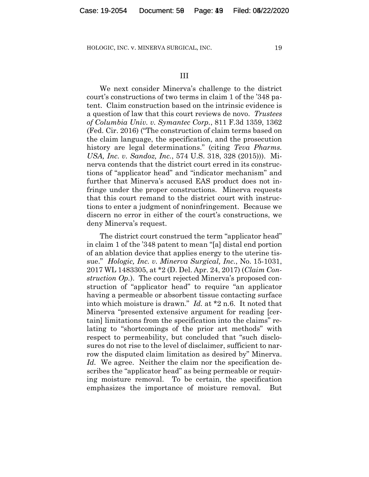#### III

We next consider Minerva's challenge to the district court's constructions of two terms in claim 1 of the '348 patent. Claim construction based on the intrinsic evidence is a question of law that this court reviews de novo. *Trustees of Columbia Univ. v. Symantec Corp.*, 811 F.3d 1359, 1362 (Fed. Cir. 2016) ("The construction of claim terms based on the claim language, the specification, and the prosecution history are legal determinations." (citing *Teva Pharms. USA, Inc. v. Sandoz, Inc.*, 574 U.S. 318, 328 (2015))). Minerva contends that the district court erred in its constructions of "applicator head" and "indicator mechanism" and further that Minerva's accused EAS product does not infringe under the proper constructions. Minerva requests that this court remand to the district court with instructions to enter a judgment of noninfringement. Because we discern no error in either of the court's constructions, we deny Minerva's request.

The district court construed the term "applicator head" in claim 1 of the '348 patent to mean "[a] distal end portion of an ablation device that applies energy to the uterine tissue." *Hologic, Inc. v. Minerva Surgical, Inc.*, No. 15-1031, 2017 WL 1483305, at \*2 (D. Del. Apr. 24, 2017) (*Claim Construction Op.*). The court rejected Minerva's proposed construction of "applicator head" to require "an applicator having a permeable or absorbent tissue contacting surface into which moisture is drawn." *Id.* at \*2 n.6. It noted that Minerva "presented extensive argument for reading [certain] limitations from the specification into the claims" relating to "shortcomings of the prior art methods" with respect to permeability, but concluded that "such disclosures do not rise to the level of disclaimer, sufficient to narrow the disputed claim limitation as desired by" Minerva. *Id.* We agree. Neither the claim nor the specification describes the "applicator head" as being permeable or requiring moisture removal. To be certain, the specification emphasizes the importance of moisture removal. But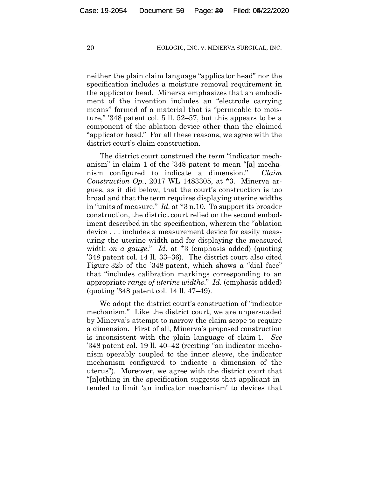neither the plain claim language "applicator head" nor the specification includes a moisture removal requirement in the applicator head. Minerva emphasizes that an embodiment of the invention includes an "electrode carrying means" formed of a material that is "permeable to moisture," '348 patent col. 5 ll. 52–57, but this appears to be a component of the ablation device other than the claimed "applicator head." For all these reasons, we agree with the district court's claim construction.

The district court construed the term "indicator mechanism" in claim 1 of the '348 patent to mean "[a] mechanism configured to indicate a dimension." *Claim Construction Op.*, 2017 WL 1483305, at \*3. Minerva argues, as it did below, that the court's construction is too broad and that the term requires displaying uterine widths in "units of measure." *Id.* at \*3 n.10. To support its broader construction, the district court relied on the second embodiment described in the specification, wherein the "ablation device . . . includes a measurement device for easily measuring the uterine width and for displaying the measured width *on a gauge*." *Id.* at \*3 (emphasis added) (quoting '348 patent col. 14 ll. 33–36). The district court also cited Figure 32b of the '348 patent, which shows a "dial face" that "includes calibration markings corresponding to an appropriate *range of uterine widths*." *Id.* (emphasis added) (quoting '348 patent col. 14 ll. 47–49).

We adopt the district court's construction of "indicator mechanism." Like the district court, we are unpersuaded by Minerva's attempt to narrow the claim scope to require a dimension. First of all, Minerva's proposed construction is inconsistent with the plain language of claim 1. *See*  '348 patent col. 19 ll. 40–42 (reciting "an indicator mechanism operably coupled to the inner sleeve, the indicator mechanism configured to indicate a dimension of the uterus"). Moreover, we agree with the district court that "[n]othing in the specification suggests that applicant intended to limit 'an indicator mechanism' to devices that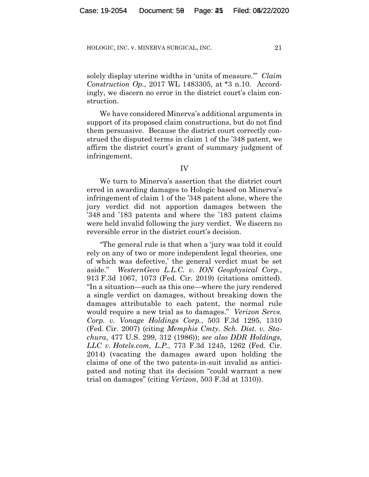solely display uterine widths in 'units of measure.'" *Claim Construction Op.*, 2017 WL 1483305, at \*3 n.10. Accordingly, we discern no error in the district court's claim construction.

We have considered Minerva's additional arguments in support of its proposed claim constructions, but do not find them persuasive. Because the district court correctly construed the disputed terms in claim 1 of the '348 patent, we affirm the district court's grant of summary judgment of infringement.

IV

We turn to Minerva's assertion that the district court erred in awarding damages to Hologic based on Minerva's infringement of claim 1 of the '348 patent alone, where the jury verdict did not apportion damages between the '348 and '183 patents and where the '183 patent claims were held invalid following the jury verdict.We discern no reversible error in the district court's decision.

"The general rule is that when a 'jury was told it could rely on any of two or more independent legal theories, one of which was defective,' the general verdict must be set aside." *WesternGeco L.L.C. v. ION Geophysical Corp.*, 913 F.3d 1067, 1073 (Fed. Cir. 2019) (citations omitted). "In a situation—such as this one—where the jury rendered a single verdict on damages, without breaking down the damages attributable to each patent, the normal rule would require a new trial as to damages." *Verizon Servs. Corp. v. Vonage Holdings Corp.*, 503 F.3d 1295, 1310 (Fed. Cir. 2007) (citing *Memphis Cmty. Sch. Dist. v. Stachura*, 477 U.S. 299, 312 (1986)); *see also DDR Holdings, LLC v. Hotels.com, L.P.*, 773 F.3d 1245, 1262 (Fed. Cir. 2014) (vacating the damages award upon holding the claims of one of the two patents-in-suit invalid as anticipated and noting that its decision "could warrant a new trial on damages" (citing *Verizon*, 503 F.3d at 1310)).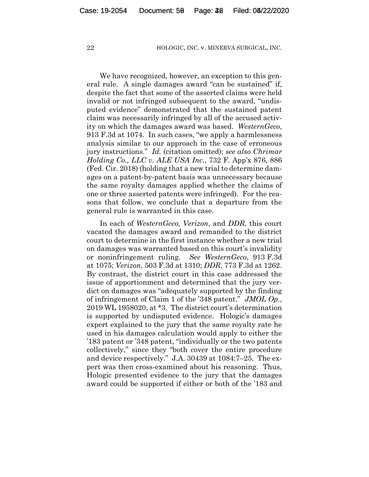We have recognized, however, an exception to this general rule. A single damages award "can be sustained" if, despite the fact that some of the asserted claims were held invalid or not infringed subsequent to the award, "undisputed evidence" demonstrated that the sustained patent claim was necessarily infringed by all of the accused activity on which the damages award was based. *WesternGeco*, 913 F.3d at 1074. In such cases, "we apply a harmlessness analysis similar to our approach in the case of erroneous jury instructions." *Id.* (citation omitted); *see also Chrimar Holding Co., LLC v. ALE USA Inc.*, 732 F. App'x 876, 886 (Fed. Cir. 2018) (holding that a new trial to determine damages on a patent-by-patent basis was unnecessary because the same royalty damages applied whether the claims of one or three asserted patents were infringed). For the reasons that follow, we conclude that a departure from the general rule is warranted in this case.

In each of *WesternGeco*, *Verizon*, and *DDR*, this court vacated the damages award and remanded to the district court to determine in the first instance whether a new trial on damages was warranted based on this court's invalidity or noninfringement ruling. *See WesternGeco*, 913 F.3d at 1075; *Verizon*, 503 F.3d at 1310; *DDR*, 773 F.3d at 1262. By contrast, the district court in this case addressed the issue of apportionment and determined that the jury verdict on damages was "adequately supported by the finding of infringement of Claim 1 of the '348 patent." *JMOL Op.*, 2019 WL 1958020, at \*3. The district court's determination is supported by undisputed evidence. Hologic's damages expert explained to the jury that the same royalty rate he used in his damages calculation would apply to either the '183 patent or '348 patent, "individually or the two patents collectively," since they "both cover the entire procedure and device respectively." J.A. 30439 at 1084:7–25. The expert was then cross-examined about his reasoning. Thus, Hologic presented evidence to the jury that the damages award could be supported if either or both of the '183 and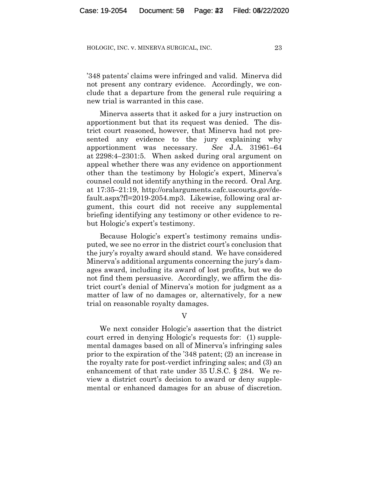'348 patents' claims were infringed and valid. Minerva did not present any contrary evidence. Accordingly, we conclude that a departure from the general rule requiring a new trial is warranted in this case.

Minerva asserts that it asked for a jury instruction on apportionment but that its request was denied. The district court reasoned, however, that Minerva had not presented any evidence to the jury explaining why apportionment was necessary. *See* J.A. 31961–64 at 2298:4–2301:5.When asked during oral argument on appeal whether there was any evidence on apportionment other than the testimony by Hologic's expert, Minerva's counsel could not identify anything in the record. Oral Arg. at 17:35–21:19, http://oralarguments.cafc.uscourts.gov/default.aspx?fl=2019-2054.mp3. Likewise, following oral argument, this court did not receive any supplemental briefing identifying any testimony or other evidence to rebut Hologic's expert's testimony.

Because Hologic's expert's testimony remains undisputed, we see no error in the district court's conclusion that the jury's royalty award should stand. We have considered Minerva's additional arguments concerning the jury's damages award, including its award of lost profits, but we do not find them persuasive. Accordingly, we affirm the district court's denial of Minerva's motion for judgment as a matter of law of no damages or, alternatively, for a new trial on reasonable royalty damages.

V

We next consider Hologic's assertion that the district court erred in denying Hologic's requests for: (1) supplemental damages based on all of Minerva's infringing sales prior to the expiration of the '348 patent; (2) an increase in the royalty rate for post-verdict infringing sales; and (3) an enhancement of that rate under 35 U.S.C. § 284. We review a district court's decision to award or deny supplemental or enhanced damages for an abuse of discretion.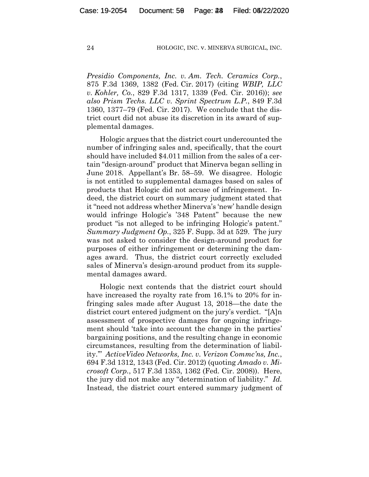*Presidio Components, Inc. v. Am. Tech. Ceramics Corp.*, 875 F.3d 1369, 1382 (Fed. Cir. 2017) (citing *WBIP, LLC v. Kohler, Co.*, 829 F.3d 1317, 1339 (Fed. Cir. 2016)); *see also Prism Techs. LLC v. Sprint Spectrum L.P.*, 849 F.3d 1360, 1377–79 (Fed. Cir. 2017). We conclude that the district court did not abuse its discretion in its award of supplemental damages.

Hologic argues that the district court undercounted the number of infringing sales and, specifically, that the court should have included \$4.011 million from the sales of a certain "design-around" product that Minerva began selling in June 2018. Appellant's Br. 58–59. We disagree. Hologic is not entitled to supplemental damages based on sales of products that Hologic did not accuse of infringement. Indeed, the district court on summary judgment stated that it "need not address whether Minerva's 'new' handle design would infringe Hologic's '348 Patent" because the new product "is not alleged to be infringing Hologic's patent." *Summary Judgment Op.*, 325 F. Supp. 3d at 529.The jury was not asked to consider the design-around product for purposes of either infringement or determining the damages award. Thus, the district court correctly excluded sales of Minerva's design-around product from its supplemental damages award.

Hologic next contends that the district court should have increased the royalty rate from 16.1% to 20% for infringing sales made after August 13, 2018—the date the district court entered judgment on the jury's verdict. "[A]n assessment of prospective damages for ongoing infringement should 'take into account the change in the parties' bargaining positions, and the resulting change in economic circumstances, resulting from the determination of liability.'" *ActiveVideo Networks, Inc. v. Verizon Commc'ns, Inc.*, 694 F.3d 1312, 1343 (Fed. Cir. 2012) (quoting *Amado v. Microsoft Corp.*, 517 F.3d 1353, 1362 (Fed. Cir. 2008)). Here, the jury did not make any "determination of liability." *Id.* Instead, the district court entered summary judgment of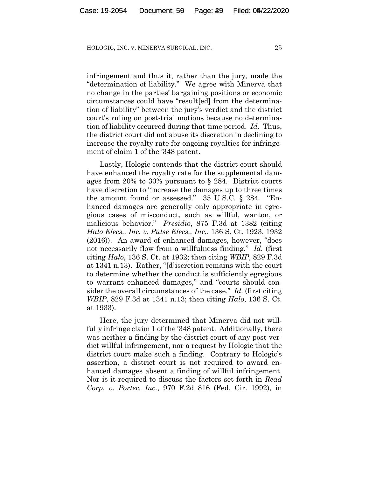infringement and thus it, rather than the jury, made the "determination of liability." We agree with Minerva that no change in the parties' bargaining positions or economic circumstances could have "result[ed] from the determination of liability" between the jury's verdict and the district court's ruling on post-trial motions because no determination of liability occurred during that time period. *Id.* Thus, the district court did not abuse its discretion in declining to increase the royalty rate for ongoing royalties for infringement of claim 1 of the '348 patent.

Lastly, Hologic contends that the district court should have enhanced the royalty rate for the supplemental damages from 20% to 30% pursuant to § 284. District courts have discretion to "increase the damages up to three times the amount found or assessed." 35 U.S.C. § 284."Enhanced damages are generally only appropriate in egregious cases of misconduct, such as willful, wanton, or malicious behavior." *Presidio*, 875 F.3d at 1382 (citing *Halo Elecs., Inc. v. Pulse Elecs., Inc.*, 136 S. Ct. 1923, 1932 (2016)). An award of enhanced damages, however, "does not necessarily flow from a willfulness finding." *Id.* (first citing *Halo*, 136 S. Ct. at 1932; then citing *WBIP*, 829 F.3d at 1341 n.13). Rather, "[d]iscretion remains with the court to determine whether the conduct is sufficiently egregious to warrant enhanced damages," and "courts should consider the overall circumstances of the case." *Id.* (first citing *WBIP*, 829 F.3d at 1341 n.13; then citing *Halo*, 136 S. Ct. at 1933).

Here, the jury determined that Minerva did not willfully infringe claim 1 of the '348 patent. Additionally, there was neither a finding by the district court of any post-verdict willful infringement, nor a request by Hologic that the district court make such a finding. Contrary to Hologic's assertion, a district court is not required to award enhanced damages absent a finding of willful infringement. Nor is it required to discuss the factors set forth in *Read Corp. v. Portec, Inc.*, 970 F.2d 816 (Fed. Cir. 1992), in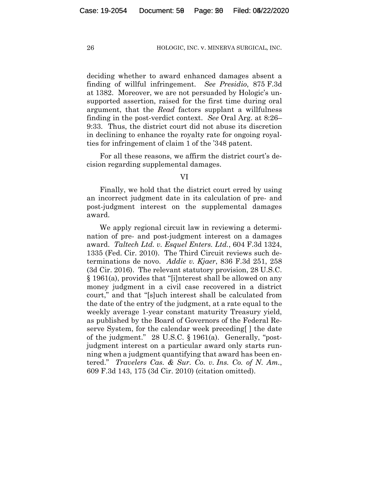deciding whether to award enhanced damages absent a finding of willful infringement. *See Presidio*, 875 F.3d at 1382. Moreover, we are not persuaded by Hologic's unsupported assertion, raised for the first time during oral argument, that the *Read* factors supplant a willfulness finding in the post-verdict context. *See* Oral Arg. at 8:26– 9:33. Thus, the district court did not abuse its discretion in declining to enhance the royalty rate for ongoing royalties for infringement of claim 1 of the '348 patent.

For all these reasons, we affirm the district court's decision regarding supplemental damages.

#### VI

Finally, we hold that the district court erred by using an incorrect judgment date in its calculation of pre- and post-judgment interest on the supplemental damages award.

We apply regional circuit law in reviewing a determination of pre- and post-judgment interest on a damages award. *Taltech Ltd. v. Esquel Enters. Ltd.*, 604 F.3d 1324, 1335 (Fed. Cir. 2010). The Third Circuit reviews such determinations de novo. *Addie v. Kjaer*, 836 F.3d 251, 258 (3d Cir. 2016). The relevant statutory provision, 28 U.S.C. § 1961(a), provides that "[i]nterest shall be allowed on any money judgment in a civil case recovered in a district court," and that "[s]uch interest shall be calculated from the date of the entry of the judgment, at a rate equal to the weekly average 1-year constant maturity Treasury yield, as published by the Board of Governors of the Federal Reserve System, for the calendar week preceding l the date of the judgment." 28 U.S.C. § 1961(a). Generally, "postjudgment interest on a particular award only starts running when a judgment quantifying that award has been entered." *Travelers Cas. & Sur. Co. v. Ins. Co. of N. Am.*, 609 F.3d 143, 175 (3d Cir. 2010) (citation omitted).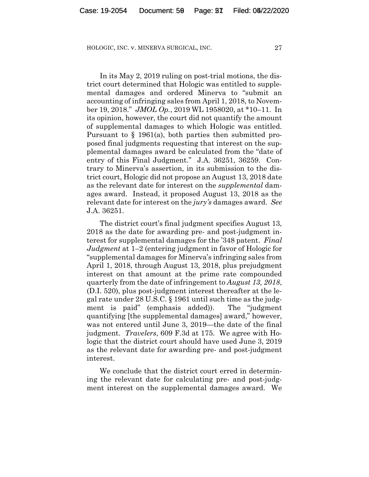In its May 2, 2019 ruling on post-trial motions, the district court determined that Hologic was entitled to supplemental damages and ordered Minerva to "submit an accounting of infringing sales from April 1, 2018, to November 19, 2018." *JMOL Op.*, 2019 WL 1958020, at \*10–11. In its opinion, however, the court did not quantify the amount of supplemental damages to which Hologic was entitled. Pursuant to § 1961(a), both parties then submitted proposed final judgments requesting that interest on the supplemental damages award be calculated from the "date of entry of this Final Judgment." J.A. 36251, 36259. Contrary to Minerva's assertion, in its submission to the district court, Hologic did not propose an August 13, 2018 date as the relevant date for interest on the *supplemental* damages award. Instead, it proposed August 13, 2018 as the relevant date for interest on the *jury's* damages award. *See*  J.A. 36251.

The district court's final judgment specifies August 13, 2018 as the date for awarding pre- and post-judgment interest for supplemental damages for the '348 patent. *Final Judgment* at 1–2 (entering judgment in favor of Hologic for "supplemental damages for Minerva's infringing sales from April 1, 2018, through August 13, 2018, plus prejudgment interest on that amount at the prime rate compounded quarterly from the date of infringement to *August 13, 2018*, (D.I. 520), plus post-judgment interest thereafter at the legal rate under 28 U.S.C. § 1961 until such time as the judgment is paid" (emphasis added)). The "judgment quantifying [the supplemental damages] award," however, was not entered until June 3, 2019—the date of the final judgment. *Travelers*, 609 F.3d at 175. We agree with Hologic that the district court should have used June 3, 2019 as the relevant date for awarding pre- and post-judgment interest.

We conclude that the district court erred in determining the relevant date for calculating pre- and post-judgment interest on the supplemental damages award. We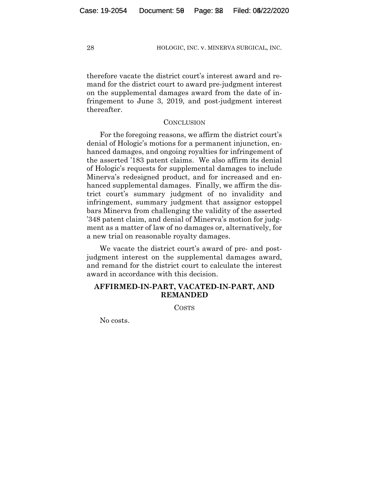therefore vacate the district court's interest award and remand for the district court to award pre-judgment interest on the supplemental damages award from the date of infringement to June 3, 2019, and post-judgment interest thereafter.

#### **CONCLUSION**

For the foregoing reasons, we affirm the district court's denial of Hologic's motions for a permanent injunction, enhanced damages, and ongoing royalties for infringement of the asserted '183 patent claims. We also affirm its denial of Hologic's requests for supplemental damages to include Minerva's redesigned product, and for increased and enhanced supplemental damages. Finally, we affirm the district court's summary judgment of no invalidity and infringement, summary judgment that assignor estoppel bars Minerva from challenging the validity of the asserted '348 patent claim, and denial of Minerva's motion for judgment as a matter of law of no damages or, alternatively, for a new trial on reasonable royalty damages.

We vacate the district court's award of pre- and postjudgment interest on the supplemental damages award, and remand for the district court to calculate the interest award in accordance with this decision.

#### **AFFIRMED-IN-PART, VACATED-IN-PART, AND REMANDED**

COSTS

No costs.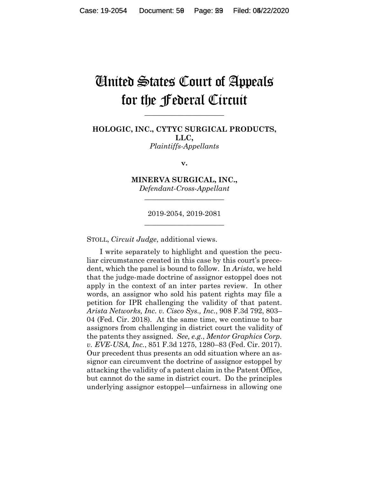# United States Court of Appeals for the Federal Circuit

**\_\_\_\_\_\_\_\_\_\_\_\_\_\_\_\_\_\_\_\_\_\_**

**HOLOGIC, INC., CYTYC SURGICAL PRODUCTS, LLC,** *Plaintiffs-Appellants*

**v.**

**MINERVA SURGICAL, INC.,** *Defendant-Cross-Appellant*

**\_\_\_\_\_\_\_\_\_\_\_\_\_\_\_\_\_\_\_\_\_\_**

2019-2054, 2019-2081 **\_\_\_\_\_\_\_\_\_\_\_\_\_\_\_\_\_\_\_\_\_\_**

STOLL, *Circuit Judge*, additional views.

I write separately to highlight and question the peculiar circumstance created in this case by this court's precedent, which the panel is bound to follow. In *Arista*, we held that the judge-made doctrine of assignor estoppel does not apply in the context of an inter partes review. In other words, an assignor who sold his patent rights may file a petition for IPR challenging the validity of that patent. *Arista Networks, Inc. v. Cisco Sys., Inc.*, 908 F.3d 792, 803– 04 (Fed. Cir. 2018). At the same time, we continue to bar assignors from challenging in district court the validity of the patents they assigned. *See, e.g.*, *Mentor Graphics Corp. v. EVE-USA, Inc.*, 851 F.3d 1275, 1280–83 (Fed. Cir. 2017). Our precedent thus presents an odd situation where an assignor can circumvent the doctrine of assignor estoppel by attacking the validity of a patent claim in the Patent Office, but cannot do the same in district court. Do the principles underlying assignor estoppel—unfairness in allowing one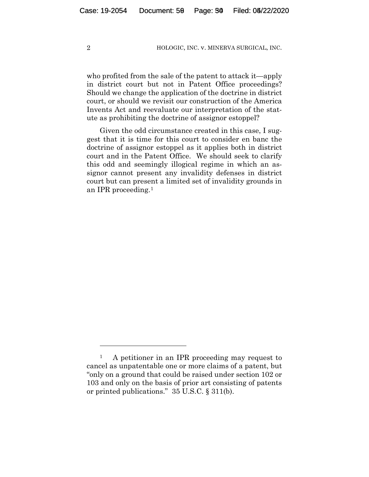who profited from the sale of the patent to attack it—apply in district court but not in Patent Office proceedings? Should we change the application of the doctrine in district court, or should we revisit our construction of the America Invents Act and reevaluate our interpretation of the statute as prohibiting the doctrine of assignor estoppel?

Given the odd circumstance created in this case, I suggest that it is time for this court to consider en banc the doctrine of assignor estoppel as it applies both in district court and in the Patent Office. We should seek to clarify this odd and seemingly illogical regime in which an assignor cannot present any invalidity defenses in district court but can present a limited set of invalidity grounds in an IPR proceeding.1

<sup>&</sup>lt;sup>1</sup> A petitioner in an IPR proceeding may request to cancel as unpatentable one or more claims of a patent, but "only on a ground that could be raised under section 102 or 103 and only on the basis of prior art consisting of patents or printed publications." 35 U.S.C. § 311(b).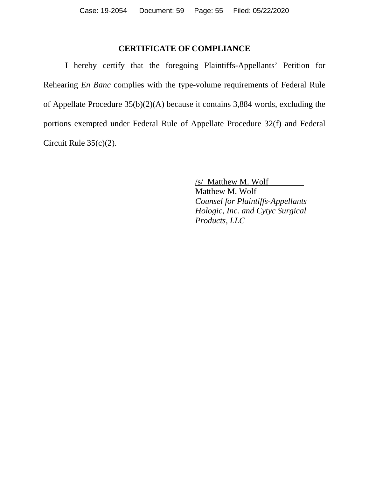## **CERTIFICATE OF COMPLIANCE**

I hereby certify that the foregoing Plaintiffs-Appellants' Petition for Rehearing *En Banc* complies with the type-volume requirements of Federal Rule of Appellate Procedure 35(b)(2)(A) because it contains 3,884 words, excluding the portions exempted under Federal Rule of Appellate Procedure 32(f) and Federal Circuit Rule 35(c)(2).

/s/ Matthew M. Wolf

Matthew M. Wolf *Counsel for Plaintiffs-Appellants Hologic, Inc. and Cytyc Surgical Products, LLC*